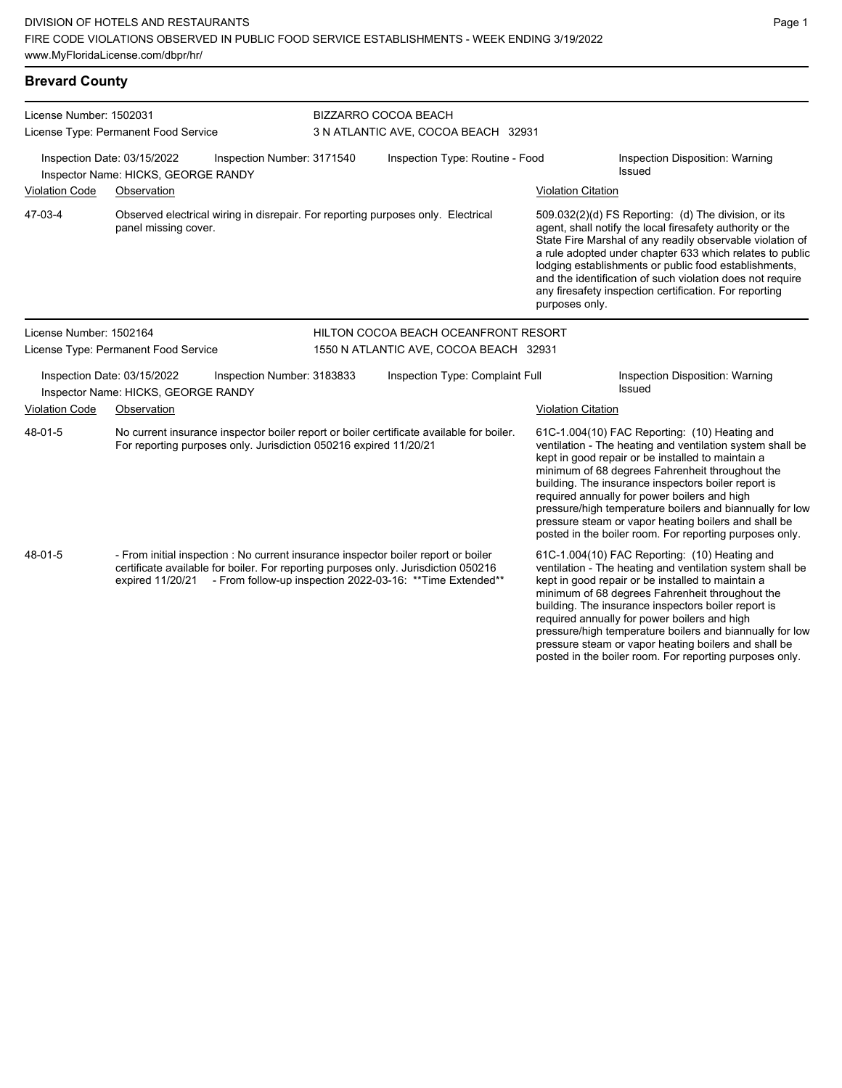| <b>Brevard County</b>                                                                            |                                                                                                                                                                                                                                                         |                            |                                                                                  |                                                             |                           |                                                                                                                                                                                                                                                                                                                                                                                                                                                                                                          |  |  |
|--------------------------------------------------------------------------------------------------|---------------------------------------------------------------------------------------------------------------------------------------------------------------------------------------------------------------------------------------------------------|----------------------------|----------------------------------------------------------------------------------|-------------------------------------------------------------|---------------------------|----------------------------------------------------------------------------------------------------------------------------------------------------------------------------------------------------------------------------------------------------------------------------------------------------------------------------------------------------------------------------------------------------------------------------------------------------------------------------------------------------------|--|--|
| License Number: 1502031                                                                          | License Type: Permanent Food Service                                                                                                                                                                                                                    |                            |                                                                                  | BIZZARRO COCOA BEACH<br>3 N ATLANTIC AVE, COCOA BEACH 32931 |                           |                                                                                                                                                                                                                                                                                                                                                                                                                                                                                                          |  |  |
| Inspection Date: 03/15/2022<br>Inspection Number: 3171540<br>Inspector Name: HICKS, GEORGE RANDY |                                                                                                                                                                                                                                                         |                            |                                                                                  | Inspection Type: Routine - Food                             |                           | Inspection Disposition: Warning<br>Issued                                                                                                                                                                                                                                                                                                                                                                                                                                                                |  |  |
| <b>Violation Code</b>                                                                            | Observation                                                                                                                                                                                                                                             |                            |                                                                                  |                                                             | <b>Violation Citation</b> |                                                                                                                                                                                                                                                                                                                                                                                                                                                                                                          |  |  |
| 47-03-4                                                                                          | panel missing cover.                                                                                                                                                                                                                                    |                            | Observed electrical wiring in disrepair. For reporting purposes only. Electrical |                                                             |                           | 509.032(2)(d) FS Reporting: (d) The division, or its<br>agent, shall notify the local firesafety authority or the<br>State Fire Marshal of any readily observable violation of<br>a rule adopted under chapter 633 which relates to public<br>lodging establishments or public food establishments,<br>and the identification of such violation does not require<br>any firesafety inspection certification. For reporting<br>purposes only.                                                             |  |  |
| License Number: 1502164                                                                          |                                                                                                                                                                                                                                                         |                            | HILTON COCOA BEACH OCEANFRONT RESORT                                             |                                                             |                           |                                                                                                                                                                                                                                                                                                                                                                                                                                                                                                          |  |  |
|                                                                                                  | License Type: Permanent Food Service                                                                                                                                                                                                                    |                            |                                                                                  | 1550 N ATLANTIC AVE, COCOA BEACH 32931                      |                           |                                                                                                                                                                                                                                                                                                                                                                                                                                                                                                          |  |  |
|                                                                                                  | Inspection Date: 03/15/2022<br>Inspector Name: HICKS, GEORGE RANDY                                                                                                                                                                                      | Inspection Number: 3183833 |                                                                                  | Inspection Type: Complaint Full                             |                           | Inspection Disposition: Warning<br>Issued                                                                                                                                                                                                                                                                                                                                                                                                                                                                |  |  |
| <b>Violation Code</b>                                                                            | Observation                                                                                                                                                                                                                                             |                            |                                                                                  |                                                             | <b>Violation Citation</b> |                                                                                                                                                                                                                                                                                                                                                                                                                                                                                                          |  |  |
| 48-01-5                                                                                          | No current insurance inspector boiler report or boiler certificate available for boiler.<br>For reporting purposes only. Jurisdiction 050216 expired 11/20/21                                                                                           |                            |                                                                                  |                                                             |                           | 61C-1.004(10) FAC Reporting: (10) Heating and<br>ventilation - The heating and ventilation system shall be<br>kept in good repair or be installed to maintain a<br>minimum of 68 degrees Fahrenheit throughout the<br>building. The insurance inspectors boiler report is<br>required annually for power boilers and high<br>pressure/high temperature boilers and biannually for low<br>pressure steam or vapor heating boilers and shall be<br>posted in the boiler room. For reporting purposes only. |  |  |
| 48-01-5                                                                                          | - From initial inspection : No current insurance inspector boiler report or boiler<br>certificate available for boiler. For reporting purposes only. Jurisdiction 050216<br>expired 11/20/21 - From follow-up inspection 2022-03-16: ** Time Extended** |                            |                                                                                  |                                                             |                           | 61C-1.004(10) FAC Reporting: (10) Heating and<br>ventilation - The heating and ventilation system shall be<br>kept in good repair or be installed to maintain a<br>minimum of 68 degrees Fahrenheit throughout the<br>building. The insurance inspectors boiler report is<br>required annually for power boilers and high<br>pressure/high temperature boilers and biannually for low                                                                                                                    |  |  |

pressure steam or vapor heating boilers and shall be posted in the boiler room. For reporting purposes only.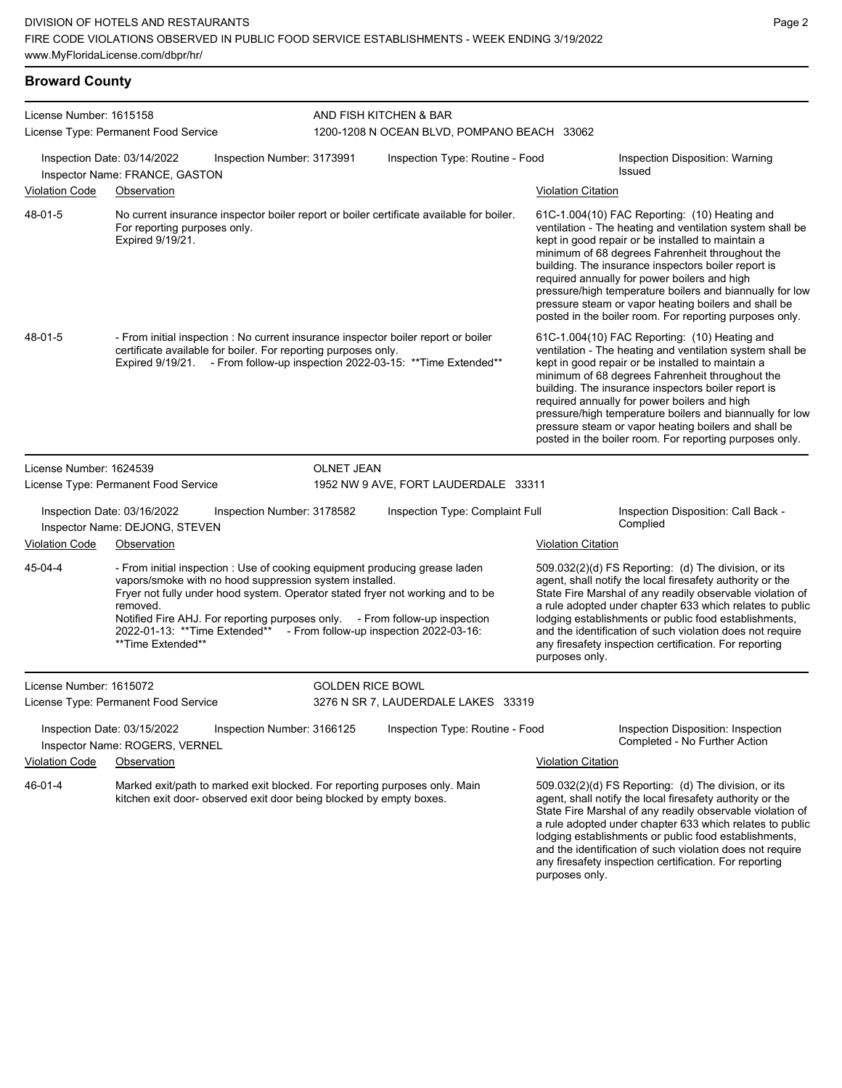| License Number: 1615158 |                                                                                                                                                                                                                                                                                                                                                                                                                   |                            | AND FISH KITCHEN & BAR                                                         |                                                                                                                                                                                                                                                                                                                                                                                                                                                                                                          |                                                                                                                                                                                                                                                                                                                                                                                                                                                                                                          |  |
|-------------------------|-------------------------------------------------------------------------------------------------------------------------------------------------------------------------------------------------------------------------------------------------------------------------------------------------------------------------------------------------------------------------------------------------------------------|----------------------------|--------------------------------------------------------------------------------|----------------------------------------------------------------------------------------------------------------------------------------------------------------------------------------------------------------------------------------------------------------------------------------------------------------------------------------------------------------------------------------------------------------------------------------------------------------------------------------------------------|----------------------------------------------------------------------------------------------------------------------------------------------------------------------------------------------------------------------------------------------------------------------------------------------------------------------------------------------------------------------------------------------------------------------------------------------------------------------------------------------------------|--|
|                         | License Type: Permanent Food Service<br>Inspection Date: 03/14/2022<br>Inspector Name: FRANCE, GASTON                                                                                                                                                                                                                                                                                                             | Inspection Number: 3173991 | 1200-1208 N OCEAN BLVD, POMPANO BEACH 33062<br>Inspection Type: Routine - Food |                                                                                                                                                                                                                                                                                                                                                                                                                                                                                                          | Inspection Disposition: Warning<br><b>Issued</b>                                                                                                                                                                                                                                                                                                                                                                                                                                                         |  |
| Violation Code          | Observation                                                                                                                                                                                                                                                                                                                                                                                                       |                            |                                                                                | <b>Violation Citation</b>                                                                                                                                                                                                                                                                                                                                                                                                                                                                                |                                                                                                                                                                                                                                                                                                                                                                                                                                                                                                          |  |
| 48-01-5                 | No current insurance inspector boiler report or boiler certificate available for boiler.<br>For reporting purposes only.<br>Expired 9/19/21.                                                                                                                                                                                                                                                                      |                            |                                                                                | 61C-1.004(10) FAC Reporting: (10) Heating and<br>ventilation - The heating and ventilation system shall be<br>kept in good repair or be installed to maintain a<br>minimum of 68 degrees Fahrenheit throughout the<br>building. The insurance inspectors boiler report is<br>required annually for power boilers and high<br>pressure/high temperature boilers and biannually for low<br>pressure steam or vapor heating boilers and shall be<br>posted in the boiler room. For reporting purposes only. |                                                                                                                                                                                                                                                                                                                                                                                                                                                                                                          |  |
| 48-01-5                 | - From initial inspection : No current insurance inspector boiler report or boiler<br>certificate available for boiler. For reporting purposes only.<br>Expired 9/19/21. - From follow-up inspection 2022-03-15: ** Time Extended**                                                                                                                                                                               |                            |                                                                                |                                                                                                                                                                                                                                                                                                                                                                                                                                                                                                          | 61C-1.004(10) FAC Reporting: (10) Heating and<br>ventilation - The heating and ventilation system shall be<br>kept in good repair or be installed to maintain a<br>minimum of 68 degrees Fahrenheit throughout the<br>building. The insurance inspectors boiler report is<br>required annually for power boilers and high<br>pressure/high temperature boilers and biannually for low<br>pressure steam or vapor heating boilers and shall be<br>posted in the boiler room. For reporting purposes only. |  |
| License Number: 1624539 |                                                                                                                                                                                                                                                                                                                                                                                                                   | OLNET JEAN                 |                                                                                |                                                                                                                                                                                                                                                                                                                                                                                                                                                                                                          |                                                                                                                                                                                                                                                                                                                                                                                                                                                                                                          |  |
|                         | License Type: Permanent Food Service                                                                                                                                                                                                                                                                                                                                                                              |                            | 1952 NW 9 AVE, FORT LAUDERDALE 33311                                           |                                                                                                                                                                                                                                                                                                                                                                                                                                                                                                          |                                                                                                                                                                                                                                                                                                                                                                                                                                                                                                          |  |
|                         | Inspection Date: 03/16/2022<br>Inspector Name: DEJONG, STEVEN                                                                                                                                                                                                                                                                                                                                                     | Inspection Number: 3178582 | Inspection Type: Complaint Full                                                |                                                                                                                                                                                                                                                                                                                                                                                                                                                                                                          | Inspection Disposition: Call Back -<br>Complied                                                                                                                                                                                                                                                                                                                                                                                                                                                          |  |
| Violation Code          | Observation                                                                                                                                                                                                                                                                                                                                                                                                       |                            |                                                                                | <b>Violation Citation</b>                                                                                                                                                                                                                                                                                                                                                                                                                                                                                |                                                                                                                                                                                                                                                                                                                                                                                                                                                                                                          |  |
| 45-04-4                 | - From initial inspection : Use of cooking equipment producing grease laden<br>vapors/smoke with no hood suppression system installed.<br>Fryer not fully under hood system. Operator stated fryer not working and to be<br>removed.<br>Notified Fire AHJ. For reporting purposes only. - From follow-up inspection<br>2022-01-13: **Time Extended** - From follow-up inspection 2022-03-16:<br>**Time Extended** |                            |                                                                                | purposes only.                                                                                                                                                                                                                                                                                                                                                                                                                                                                                           | 509.032(2)(d) FS Reporting: (d) The division, or its<br>agent, shall notify the local firesafety authority or the<br>State Fire Marshal of any readily observable violation of<br>a rule adopted under chapter 633 which relates to public<br>lodging establishments or public food establishments,<br>and the identification of such violation does not require<br>any firesafety inspection certification. For reporting                                                                               |  |
| License Number: 1615072 |                                                                                                                                                                                                                                                                                                                                                                                                                   | <b>GOLDEN RICE BOWL</b>    |                                                                                |                                                                                                                                                                                                                                                                                                                                                                                                                                                                                                          |                                                                                                                                                                                                                                                                                                                                                                                                                                                                                                          |  |
|                         | License Type: Permanent Food Service                                                                                                                                                                                                                                                                                                                                                                              |                            | 3276 N SR 7, LAUDERDALE LAKES 33319                                            |                                                                                                                                                                                                                                                                                                                                                                                                                                                                                                          |                                                                                                                                                                                                                                                                                                                                                                                                                                                                                                          |  |
|                         | Inspection Date: 03/15/2022<br>Inspector Name: ROGERS, VERNEL                                                                                                                                                                                                                                                                                                                                                     | Inspection Number: 3166125 | Inspection Type: Routine - Food                                                |                                                                                                                                                                                                                                                                                                                                                                                                                                                                                                          | Inspection Disposition: Inspection<br>Completed - No Further Action                                                                                                                                                                                                                                                                                                                                                                                                                                      |  |
| <b>Violation Code</b>   | Observation                                                                                                                                                                                                                                                                                                                                                                                                       |                            |                                                                                | <b>Violation Citation</b>                                                                                                                                                                                                                                                                                                                                                                                                                                                                                |                                                                                                                                                                                                                                                                                                                                                                                                                                                                                                          |  |
| 46-01-4                 | Marked exit/path to marked exit blocked. For reporting purposes only. Main<br>kitchen exit door- observed exit door being blocked by empty boxes.                                                                                                                                                                                                                                                                 |                            |                                                                                | purposes only.                                                                                                                                                                                                                                                                                                                                                                                                                                                                                           | $509.032(2)(d)$ FS Reporting: (d) The division, or its<br>agent, shall notify the local firesafety authority or the<br>State Fire Marshal of any readily observable violation of<br>a rule adopted under chapter 633 which relates to public<br>lodging establishments or public food establishments,<br>and the identification of such violation does not require<br>any firesafety inspection certification. For reporting                                                                             |  |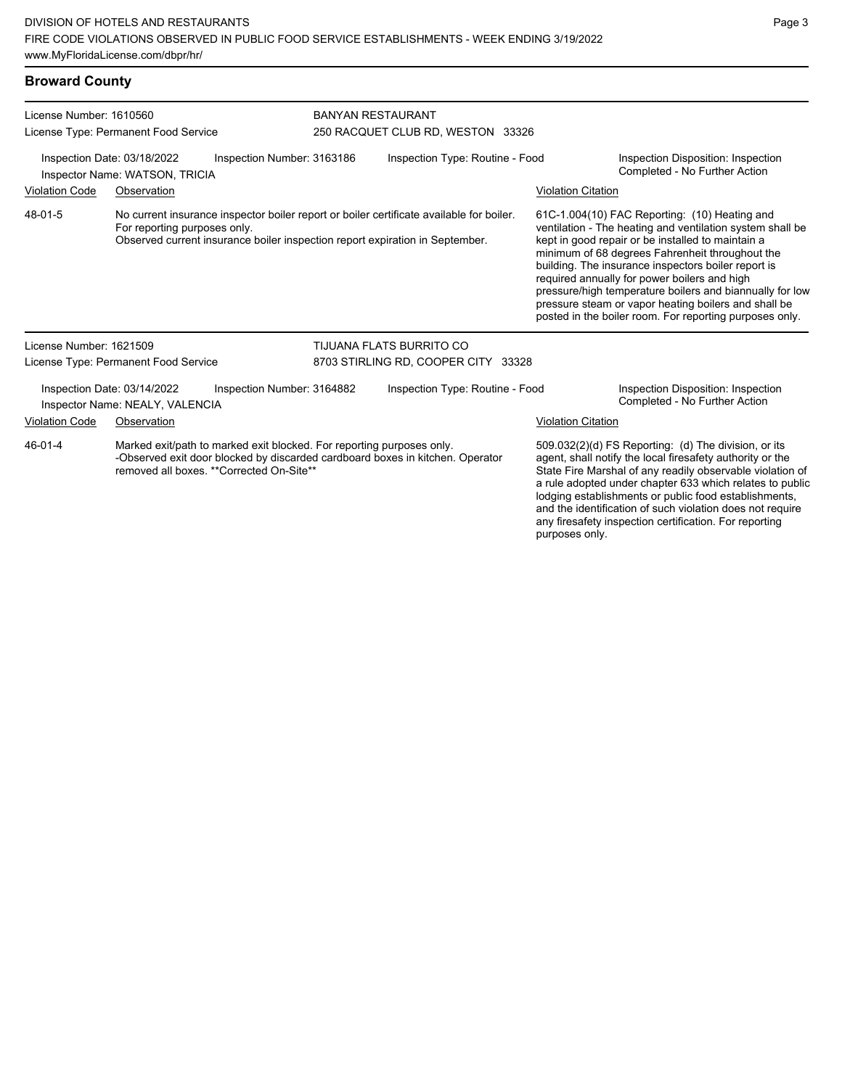| <b>Broward County</b>                                                                       |                                                                                                                                                                                                          |                            |                                                               |                                                                                                                                                                                                                                                                                                                                                                                                                                                                                                          |                                                                                                                                                                                                                                            |  |  |
|---------------------------------------------------------------------------------------------|----------------------------------------------------------------------------------------------------------------------------------------------------------------------------------------------------------|----------------------------|---------------------------------------------------------------|----------------------------------------------------------------------------------------------------------------------------------------------------------------------------------------------------------------------------------------------------------------------------------------------------------------------------------------------------------------------------------------------------------------------------------------------------------------------------------------------------------|--------------------------------------------------------------------------------------------------------------------------------------------------------------------------------------------------------------------------------------------|--|--|
| License Number: 1610560                                                                     | License Type: Permanent Food Service                                                                                                                                                                     |                            | <b>BANYAN RESTAURANT</b><br>250 RACQUET CLUB RD, WESTON 33326 |                                                                                                                                                                                                                                                                                                                                                                                                                                                                                                          |                                                                                                                                                                                                                                            |  |  |
| Inspection Date: 03/18/2022<br>Inspection Number: 3163186<br>Inspector Name: WATSON, TRICIA |                                                                                                                                                                                                          |                            | Inspection Type: Routine - Food                               |                                                                                                                                                                                                                                                                                                                                                                                                                                                                                                          | Inspection Disposition: Inspection<br>Completed - No Further Action                                                                                                                                                                        |  |  |
| Violation Code                                                                              | Observation                                                                                                                                                                                              |                            |                                                               | <b>Violation Citation</b>                                                                                                                                                                                                                                                                                                                                                                                                                                                                                |                                                                                                                                                                                                                                            |  |  |
| 48-01-5                                                                                     | No current insurance inspector boiler report or boiler certificate available for boiler.<br>For reporting purposes only.<br>Observed current insurance boiler inspection report expiration in September. |                            |                                                               | 61C-1.004(10) FAC Reporting: (10) Heating and<br>ventilation - The heating and ventilation system shall be<br>kept in good repair or be installed to maintain a<br>minimum of 68 degrees Fahrenheit throughout the<br>building. The insurance inspectors boiler report is<br>required annually for power boilers and high<br>pressure/high temperature boilers and biannually for low<br>pressure steam or vapor heating boilers and shall be<br>posted in the boiler room. For reporting purposes only. |                                                                                                                                                                                                                                            |  |  |
| License Number: 1621509                                                                     |                                                                                                                                                                                                          |                            | TIJUANA FLATS BURRITO CO                                      |                                                                                                                                                                                                                                                                                                                                                                                                                                                                                                          |                                                                                                                                                                                                                                            |  |  |
|                                                                                             | License Type: Permanent Food Service                                                                                                                                                                     |                            | 8703 STIRLING RD, COOPER CITY 33328                           |                                                                                                                                                                                                                                                                                                                                                                                                                                                                                                          |                                                                                                                                                                                                                                            |  |  |
|                                                                                             | Inspection Date: 03/14/2022<br>Inspector Name: NEALY, VALENCIA                                                                                                                                           | Inspection Number: 3164882 | Inspection Type: Routine - Food                               |                                                                                                                                                                                                                                                                                                                                                                                                                                                                                                          | Inspection Disposition: Inspection<br>Completed - No Further Action                                                                                                                                                                        |  |  |
| Violation Code                                                                              | Observation                                                                                                                                                                                              |                            |                                                               | <b>Violation Citation</b>                                                                                                                                                                                                                                                                                                                                                                                                                                                                                |                                                                                                                                                                                                                                            |  |  |
| 46-01-4                                                                                     | Marked exit/path to marked exit blocked. For reporting purposes only.<br>-Observed exit door blocked by discarded cardboard boxes in kitchen. Operator<br>removed all boxes. ** Corrected On-Site**      |                            |                                                               |                                                                                                                                                                                                                                                                                                                                                                                                                                                                                                          | 509.032(2)(d) FS Reporting: (d) The division, or its<br>agent, shall notify the local firesafety authority or the<br>State Fire Marshal of any readily observable violation of<br>a rule adopted under chapter 633 which relates to public |  |  |

a rule adopted under chapter 633 which relates to public lodging establishments or public food establishments, and the identification of such violation does not require any firesafety inspection certification. For reporting purposes only.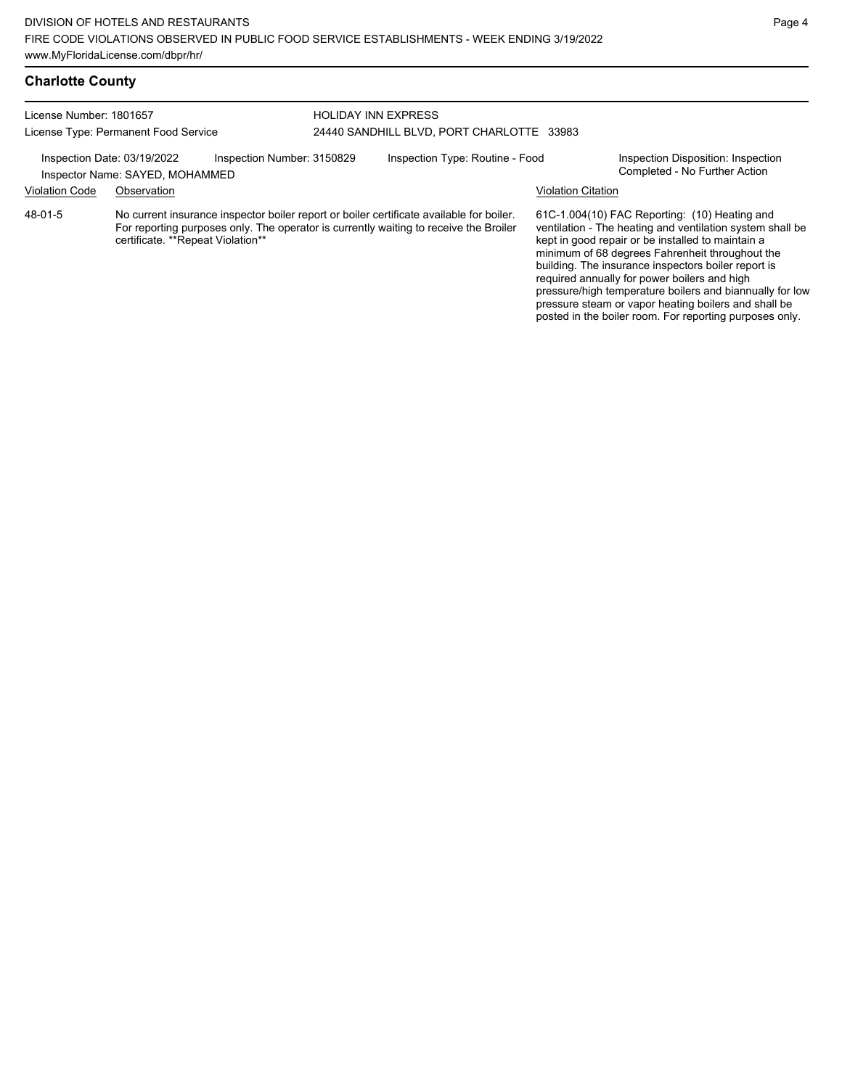## **Charlotte County**

| License Number: 1801657              |                                                                | <b>HOLIDAY INN EXPRESS</b> |                                           |                                                                                                                                                                                   |                           |                                                                                                                                                                                                                                                                                                                           |
|--------------------------------------|----------------------------------------------------------------|----------------------------|-------------------------------------------|-----------------------------------------------------------------------------------------------------------------------------------------------------------------------------------|---------------------------|---------------------------------------------------------------------------------------------------------------------------------------------------------------------------------------------------------------------------------------------------------------------------------------------------------------------------|
| License Type: Permanent Food Service |                                                                |                            | 24440 SANDHILL BLVD, PORT CHARLOTTE 33983 |                                                                                                                                                                                   |                           |                                                                                                                                                                                                                                                                                                                           |
|                                      | Inspection Date: 03/19/2022<br>Inspector Name: SAYED, MOHAMMED | Inspection Number: 3150829 |                                           | Inspection Type: Routine - Food                                                                                                                                                   |                           | Inspection Disposition: Inspection<br>Completed - No Further Action                                                                                                                                                                                                                                                       |
| <b>Violation Code</b>                | Observation                                                    |                            |                                           |                                                                                                                                                                                   | <b>Violation Citation</b> |                                                                                                                                                                                                                                                                                                                           |
| 48-01-5                              | certificate. **Repeat Violation**                              |                            |                                           | No current insurance inspector boiler report or boiler certificate available for boiler.<br>For reporting purposes only. The operator is currently waiting to receive the Broiler |                           | 61C-1.004(10) FAC Reporting: (10) Heating and<br>ventilation - The heating and ventilation system shall be<br>kept in good repair or be installed to maintain a<br>minimum of 68 degrees Fahrenheit throughout the<br>building. The insurance inspectors boiler report is<br>required annually for power boilers and high |

Page 4

pressure/high temperature boilers and biannually for low pressure steam or vapor heating boilers and shall be posted in the boiler room. For reporting purposes only.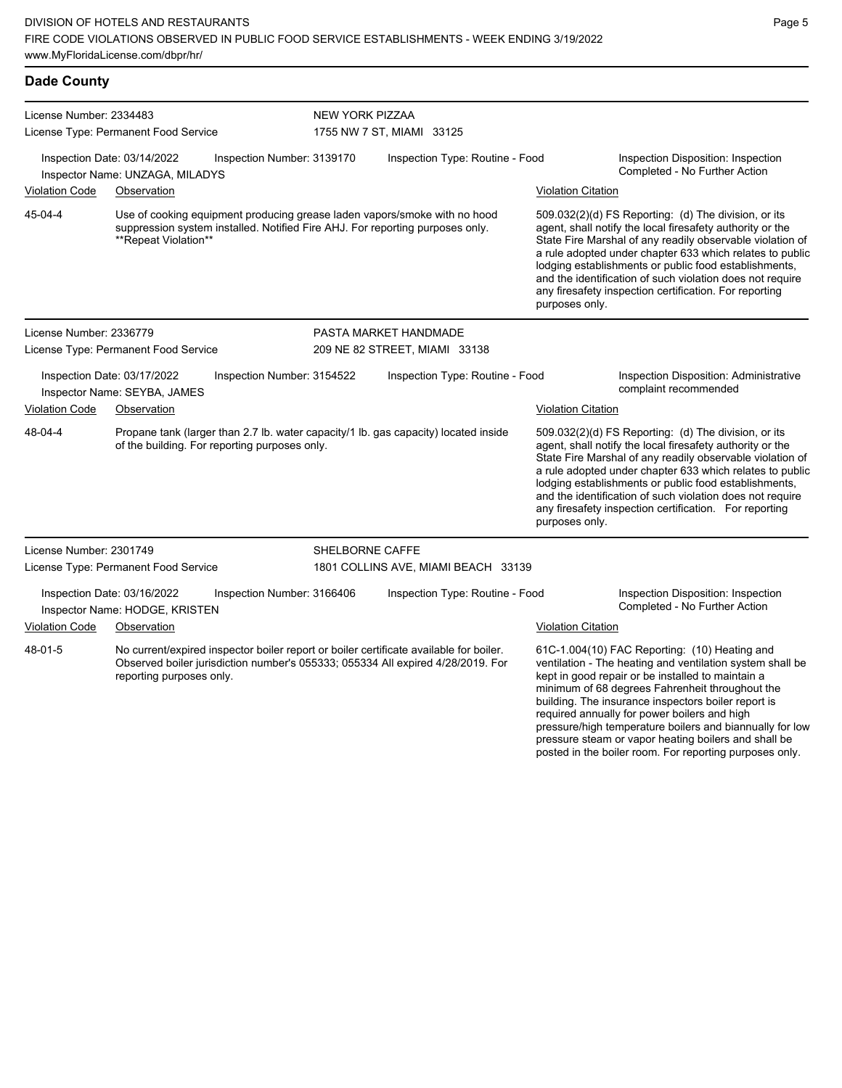| <b>Dade County</b>                   |                                                                                                                                                                                    |                            |                                                                                     |                                                                                                                                                                                                                                                                                                                                                                                                                                              |                                                                                                                                                                                                                                                                                                                                                                                                                            |  |  |
|--------------------------------------|------------------------------------------------------------------------------------------------------------------------------------------------------------------------------------|----------------------------|-------------------------------------------------------------------------------------|----------------------------------------------------------------------------------------------------------------------------------------------------------------------------------------------------------------------------------------------------------------------------------------------------------------------------------------------------------------------------------------------------------------------------------------------|----------------------------------------------------------------------------------------------------------------------------------------------------------------------------------------------------------------------------------------------------------------------------------------------------------------------------------------------------------------------------------------------------------------------------|--|--|
| License Number: 2334483              | License Type: Permanent Food Service                                                                                                                                               |                            | <b>NEW YORK PIZZAA</b><br>1755 NW 7 ST, MIAMI 33125                                 |                                                                                                                                                                                                                                                                                                                                                                                                                                              |                                                                                                                                                                                                                                                                                                                                                                                                                            |  |  |
|                                      | Inspection Date: 03/14/2022<br>Inspector Name: UNZAGA, MILADYS                                                                                                                     | Inspection Number: 3139170 | Inspection Type: Routine - Food                                                     |                                                                                                                                                                                                                                                                                                                                                                                                                                              | Inspection Disposition: Inspection<br>Completed - No Further Action                                                                                                                                                                                                                                                                                                                                                        |  |  |
| Violation Code                       | Observation                                                                                                                                                                        |                            |                                                                                     | <b>Violation Citation</b>                                                                                                                                                                                                                                                                                                                                                                                                                    |                                                                                                                                                                                                                                                                                                                                                                                                                            |  |  |
| 45-04-4                              | Use of cooking equipment producing grease laden vapors/smoke with no hood<br>suppression system installed. Notified Fire AHJ. For reporting purposes only.<br>**Repeat Violation** |                            |                                                                                     | 509.032(2)(d) FS Reporting: (d) The division, or its<br>agent, shall notify the local firesafety authority or the<br>State Fire Marshal of any readily observable violation of<br>a rule adopted under chapter 633 which relates to public<br>lodging establishments or public food establishments,<br>and the identification of such violation does not require<br>any firesafety inspection certification. For reporting<br>purposes only. |                                                                                                                                                                                                                                                                                                                                                                                                                            |  |  |
| License Number: 2336779              |                                                                                                                                                                                    |                            | PASTA MARKET HANDMADE                                                               |                                                                                                                                                                                                                                                                                                                                                                                                                                              |                                                                                                                                                                                                                                                                                                                                                                                                                            |  |  |
| License Type: Permanent Food Service |                                                                                                                                                                                    |                            | 209 NE 82 STREET, MIAMI 33138                                                       |                                                                                                                                                                                                                                                                                                                                                                                                                                              |                                                                                                                                                                                                                                                                                                                                                                                                                            |  |  |
|                                      | Inspection Date: 03/17/2022<br>Inspector Name: SEYBA, JAMES                                                                                                                        | Inspection Number: 3154522 | Inspection Type: Routine - Food                                                     |                                                                                                                                                                                                                                                                                                                                                                                                                                              | Inspection Disposition: Administrative<br>complaint recommended                                                                                                                                                                                                                                                                                                                                                            |  |  |
| Violation Code                       | Observation                                                                                                                                                                        |                            |                                                                                     | <b>Violation Citation</b>                                                                                                                                                                                                                                                                                                                                                                                                                    |                                                                                                                                                                                                                                                                                                                                                                                                                            |  |  |
| 48-04-4                              | of the building. For reporting purposes only.                                                                                                                                      |                            | Propane tank (larger than 2.7 lb. water capacity/1 lb. gas capacity) located inside | purposes only.                                                                                                                                                                                                                                                                                                                                                                                                                               | 509.032(2)(d) FS Reporting: (d) The division, or its<br>agent, shall notify the local firesafety authority or the<br>State Fire Marshal of any readily observable violation of<br>a rule adopted under chapter 633 which relates to public<br>lodging establishments or public food establishments,<br>and the identification of such violation does not require<br>any firesafety inspection certification. For reporting |  |  |
| License Number: 2301749              |                                                                                                                                                                                    | SHELBORNE CAFFE            |                                                                                     |                                                                                                                                                                                                                                                                                                                                                                                                                                              |                                                                                                                                                                                                                                                                                                                                                                                                                            |  |  |
|                                      | License Type: Permanent Food Service                                                                                                                                               |                            | 1801 COLLINS AVE, MIAMI BEACH 33139                                                 |                                                                                                                                                                                                                                                                                                                                                                                                                                              |                                                                                                                                                                                                                                                                                                                                                                                                                            |  |  |
|                                      | Inspection Date: 03/16/2022<br>Inspector Name: HODGE, KRISTEN                                                                                                                      | Inspection Number: 3166406 | Inspection Type: Routine - Food                                                     |                                                                                                                                                                                                                                                                                                                                                                                                                                              | Inspection Disposition: Inspection<br>Completed - No Further Action                                                                                                                                                                                                                                                                                                                                                        |  |  |
| Violation Code                       | Observation                                                                                                                                                                        |                            |                                                                                     | <b>Violation Citation</b>                                                                                                                                                                                                                                                                                                                                                                                                                    |                                                                                                                                                                                                                                                                                                                                                                                                                            |  |  |
| 48-01-5                              | No current/expired inspector boiler report or boiler certificate available for boiler.<br>reporting purposes only.                                                                 |                            | Observed boiler jurisdiction number's 055333; 055334 All expired 4/28/2019. For     |                                                                                                                                                                                                                                                                                                                                                                                                                                              | 61C-1.004(10) FAC Reporting: (10) Heating and<br>ventilation - The heating and ventilation system shall be<br>kept in good repair or be installed to maintain a<br>minimum of 68 degrees Fahrenheit throughout the<br>building. The insurance inspectors boiler report is<br>required annually for power boilers and high                                                                                                  |  |  |

pressure/high temperature boilers and biannually for low pressure steam or vapor heating boilers and shall be posted in the boiler room. For reporting purposes only.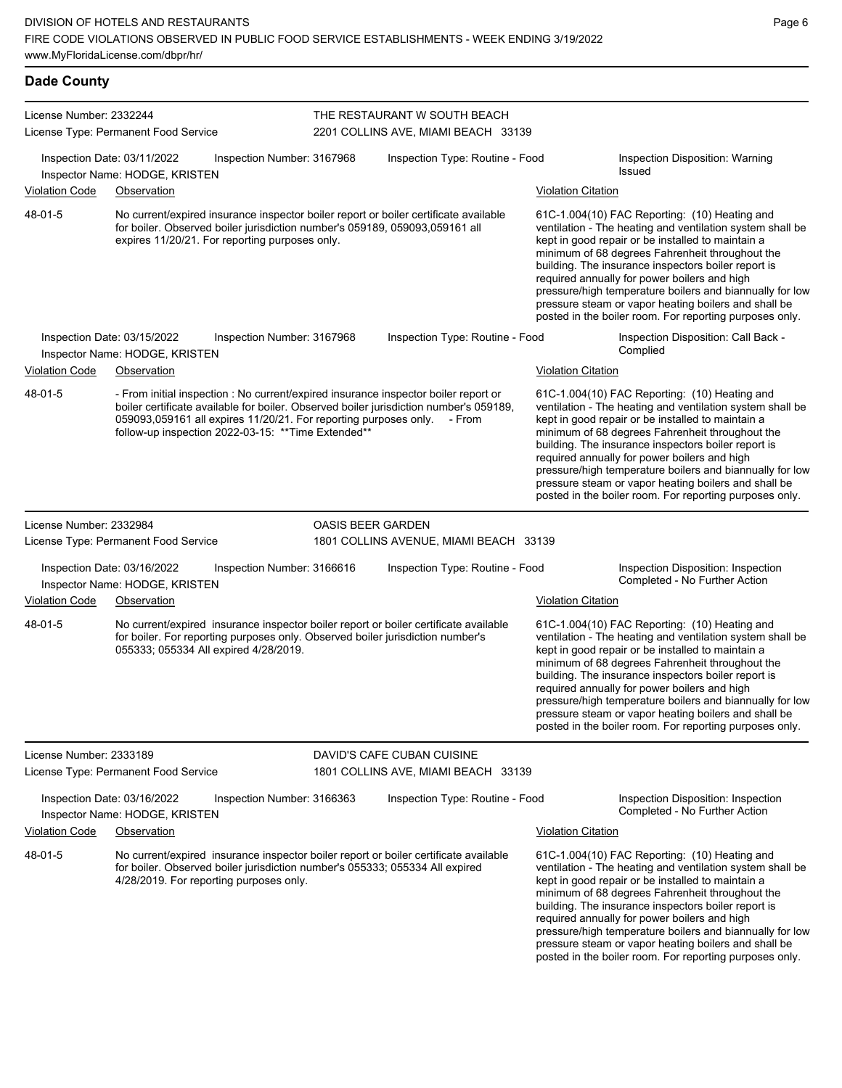| <b>Dade County</b>      |                                                                              |                                                                                                                         |                          |                                                                                                                                                                                         |                           |                                                                                                                                                                                                                                                                                                                                                                                                                                                                                                              |
|-------------------------|------------------------------------------------------------------------------|-------------------------------------------------------------------------------------------------------------------------|--------------------------|-----------------------------------------------------------------------------------------------------------------------------------------------------------------------------------------|---------------------------|--------------------------------------------------------------------------------------------------------------------------------------------------------------------------------------------------------------------------------------------------------------------------------------------------------------------------------------------------------------------------------------------------------------------------------------------------------------------------------------------------------------|
| License Number: 2332244 | License Type: Permanent Food Service                                         |                                                                                                                         |                          | THE RESTAURANT W SOUTH BEACH<br>2201 COLLINS AVE, MIAMI BEACH 33139                                                                                                                     |                           |                                                                                                                                                                                                                                                                                                                                                                                                                                                                                                              |
|                         | Inspection Date: 03/11/2022<br>Inspector Name: HODGE, KRISTEN                | Inspection Number: 3167968                                                                                              |                          | Inspection Type: Routine - Food                                                                                                                                                         |                           | Inspection Disposition: Warning<br>Issued                                                                                                                                                                                                                                                                                                                                                                                                                                                                    |
| <b>Violation Code</b>   | Observation                                                                  |                                                                                                                         |                          |                                                                                                                                                                                         | <b>Violation Citation</b> |                                                                                                                                                                                                                                                                                                                                                                                                                                                                                                              |
| 48-01-5                 |                                                                              | expires 11/20/21. For reporting purposes only.                                                                          |                          | No current/expired insurance inspector boiler report or boiler certificate available<br>for boiler. Observed boiler jurisdiction number's 059189, 059093,059161 all                     |                           | $61C-1.004(10)$ FAC Reporting: $(10)$ Heating and<br>ventilation - The heating and ventilation system shall be<br>kept in good repair or be installed to maintain a<br>minimum of 68 degrees Fahrenheit throughout the<br>building. The insurance inspectors boiler report is<br>required annually for power boilers and high<br>pressure/high temperature boilers and biannually for low<br>pressure steam or vapor heating boilers and shall be<br>posted in the boiler room. For reporting purposes only. |
|                         | Inspection Date: 03/15/2022<br>Inspector Name: HODGE, KRISTEN                | Inspection Number: 3167968                                                                                              |                          | Inspection Type: Routine - Food                                                                                                                                                         |                           | Inspection Disposition: Call Back -<br>Complied                                                                                                                                                                                                                                                                                                                                                                                                                                                              |
| <b>Violation Code</b>   | Observation                                                                  |                                                                                                                         |                          |                                                                                                                                                                                         | <b>Violation Citation</b> |                                                                                                                                                                                                                                                                                                                                                                                                                                                                                                              |
| 48-01-5                 |                                                                              | 059093,059161 all expires 11/20/21. For reporting purposes only.<br>follow-up inspection 2022-03-15: ** Time Extended** |                          | - From initial inspection : No current/expired insurance inspector boiler report or<br>boiler certificate available for boiler. Observed boiler jurisdiction number's 059189,<br>- From |                           | 61C-1.004(10) FAC Reporting: (10) Heating and<br>ventilation - The heating and ventilation system shall be<br>kept in good repair or be installed to maintain a<br>minimum of 68 degrees Fahrenheit throughout the<br>building. The insurance inspectors boiler report is<br>required annually for power boilers and high<br>pressure/high temperature boilers and biannually for low<br>pressure steam or vapor heating boilers and shall be<br>posted in the boiler room. For reporting purposes only.     |
| License Number: 2332984 |                                                                              |                                                                                                                         | <b>OASIS BEER GARDEN</b> |                                                                                                                                                                                         |                           |                                                                                                                                                                                                                                                                                                                                                                                                                                                                                                              |
|                         | License Type: Permanent Food Service                                         |                                                                                                                         |                          | 1801 COLLINS AVENUE, MIAMI BEACH 33139                                                                                                                                                  |                           |                                                                                                                                                                                                                                                                                                                                                                                                                                                                                                              |
| <b>Violation Code</b>   | Inspection Date: 03/16/2022<br>Inspector Name: HODGE, KRISTEN<br>Observation | Inspection Number: 3166616                                                                                              |                          | Inspection Type: Routine - Food                                                                                                                                                         | <b>Violation Citation</b> | Inspection Disposition: Inspection<br>Completed - No Further Action                                                                                                                                                                                                                                                                                                                                                                                                                                          |
| 48-01-5                 |                                                                              | 055333; 055334 All expired 4/28/2019.                                                                                   |                          | No current/expired insurance inspector boiler report or boiler certificate available<br>for boiler. For reporting purposes only. Observed boiler jurisdiction number's                  |                           | 61C-1.004(10) FAC Reporting: (10) Heating and<br>ventilation - The heating and ventilation system shall be<br>kept in good repair or be installed to maintain a<br>minimum of 68 degrees Fahrenheit throughout the<br>building. The insurance inspectors boiler report is<br>required annually for power boilers and high<br>pressure/high temperature boilers and biannually for low<br>pressure steam or vapor heating boilers and shall be<br>posted in the boiler room. For reporting purposes only.     |
| License Number: 2333189 |                                                                              |                                                                                                                         |                          | DAVID'S CAFE CUBAN CUISINE                                                                                                                                                              |                           |                                                                                                                                                                                                                                                                                                                                                                                                                                                                                                              |
|                         | License Type: Permanent Food Service                                         |                                                                                                                         |                          | 1801 COLLINS AVE, MIAMI BEACH 33139                                                                                                                                                     |                           |                                                                                                                                                                                                                                                                                                                                                                                                                                                                                                              |
|                         | Inspection Date: 03/16/2022<br>Inspector Name: HODGE, KRISTEN                | Inspection Number: 3166363                                                                                              |                          | Inspection Type: Routine - Food                                                                                                                                                         |                           | Inspection Disposition: Inspection<br>Completed - No Further Action                                                                                                                                                                                                                                                                                                                                                                                                                                          |
| <b>Violation Code</b>   | Observation                                                                  |                                                                                                                         |                          |                                                                                                                                                                                         | <b>Violation Citation</b> |                                                                                                                                                                                                                                                                                                                                                                                                                                                                                                              |
| 48-01-5                 |                                                                              |                                                                                                                         |                          | No current/expired insurance inspector boiler report or boiler certificate available                                                                                                    |                           | 61C-1.004(10) FAC Reporting: (10) Heating and                                                                                                                                                                                                                                                                                                                                                                                                                                                                |

for boiler. Observed boiler jurisdiction number's 055333; 055334 All expired 4/28/2019. For reporting purposes only.

ventilation - The heating and ventilation system shall be kept in good repair or be installed to maintain a minimum of 68 degrees Fahrenheit throughout the building. The insurance inspectors boiler report is required annually for power boilers and high pressure/high temperature boilers and biannually for low pressure steam or vapor heating boilers and shall be posted in the boiler room. For reporting purposes only.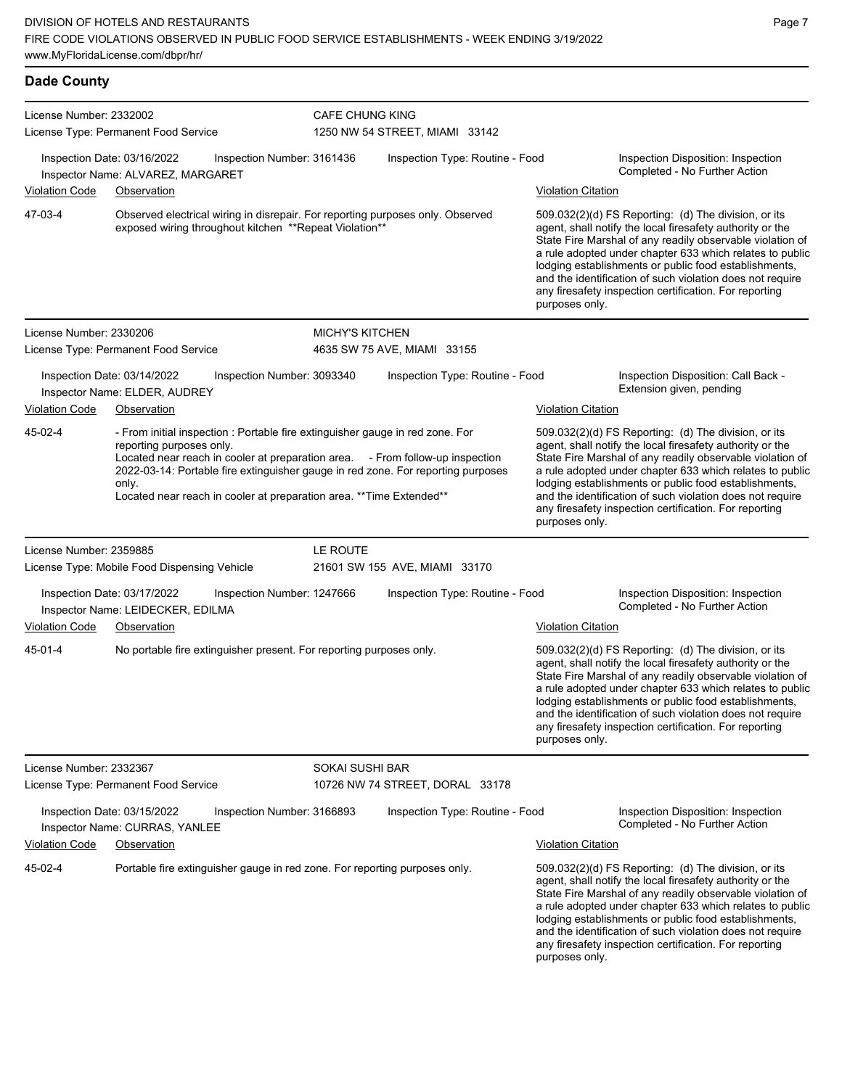| <b>Dade County</b>      |                                                                                                                                                                                                                                                                                                                                                                 |                        |                                 |                            |                                                                                                                                                                                                                                                                                                                                                                                                                            |
|-------------------------|-----------------------------------------------------------------------------------------------------------------------------------------------------------------------------------------------------------------------------------------------------------------------------------------------------------------------------------------------------------------|------------------------|---------------------------------|----------------------------|----------------------------------------------------------------------------------------------------------------------------------------------------------------------------------------------------------------------------------------------------------------------------------------------------------------------------------------------------------------------------------------------------------------------------|
| License Number: 2332002 | License Type: Permanent Food Service                                                                                                                                                                                                                                                                                                                            | <b>CAFE CHUNG KING</b> | 1250 NW 54 STREET, MIAMI 33142  |                            |                                                                                                                                                                                                                                                                                                                                                                                                                            |
| <b>Violation Code</b>   | Inspection Date: 03/16/2022<br>Inspection Number: 3161436<br>Inspector Name: ALVAREZ, MARGARET<br>Observation                                                                                                                                                                                                                                                   |                        | Inspection Type: Routine - Food | Violation Citation         | Inspection Disposition: Inspection<br>Completed - No Further Action                                                                                                                                                                                                                                                                                                                                                        |
| 47-03-4                 | Observed electrical wiring in disrepair. For reporting purposes only. Observed<br>exposed wiring throughout kitchen ** Repeat Violation**                                                                                                                                                                                                                       |                        |                                 | purposes only.             | 509.032(2)(d) FS Reporting: (d) The division, or its<br>agent, shall notify the local firesafety authority or the<br>State Fire Marshal of any readily observable violation of<br>a rule adopted under chapter 633 which relates to public<br>lodging establishments or public food establishments,<br>and the identification of such violation does not require<br>any firesafety inspection certification. For reporting |
| License Number: 2330206 | License Type: Permanent Food Service                                                                                                                                                                                                                                                                                                                            | <b>MICHY'S KITCHEN</b> | 4635 SW 75 AVE, MIAMI 33155     |                            |                                                                                                                                                                                                                                                                                                                                                                                                                            |
|                         | Inspection Date: 03/14/2022<br>Inspection Number: 3093340<br>Inspector Name: ELDER, AUDREY                                                                                                                                                                                                                                                                      |                        | Inspection Type: Routine - Food |                            | Inspection Disposition: Call Back -<br>Extension given, pending                                                                                                                                                                                                                                                                                                                                                            |
| <b>Violation Code</b>   | Observation                                                                                                                                                                                                                                                                                                                                                     |                        |                                 | <b>Violation Citation</b>  |                                                                                                                                                                                                                                                                                                                                                                                                                            |
| 45-02-4                 | - From initial inspection : Portable fire extinguisher gauge in red zone. For<br>reporting purposes only.<br>Located near reach in cooler at preparation area. - From follow-up inspection<br>2022-03-14: Portable fire extinguisher gauge in red zone. For reporting purposes<br>only.<br>Located near reach in cooler at preparation area. ** Time Extended** |                        |                                 | purposes only.             | 509.032(2)(d) FS Reporting: (d) The division, or its<br>agent, shall notify the local firesafety authority or the<br>State Fire Marshal of any readily observable violation of<br>a rule adopted under chapter 633 which relates to public<br>lodging establishments or public food establishments,<br>and the identification of such violation does not require<br>any firesafety inspection certification. For reporting |
| License Number: 2359885 |                                                                                                                                                                                                                                                                                                                                                                 | LE ROUTE               |                                 |                            |                                                                                                                                                                                                                                                                                                                                                                                                                            |
|                         | License Type: Mobile Food Dispensing Vehicle                                                                                                                                                                                                                                                                                                                    |                        | 21601 SW 155 AVE, MIAMI 33170   |                            |                                                                                                                                                                                                                                                                                                                                                                                                                            |
|                         | Inspection Date: 03/17/2022<br>Inspection Number: 1247666<br>Inspector Name: LEIDECKER, EDILMA                                                                                                                                                                                                                                                                  |                        | Inspection Type: Routine - Food |                            | Inspection Disposition: Inspection<br>Completed - No Further Action                                                                                                                                                                                                                                                                                                                                                        |
| <b>Violation Code</b>   | Observation                                                                                                                                                                                                                                                                                                                                                     |                        |                                 | <u> Violation Citation</u> |                                                                                                                                                                                                                                                                                                                                                                                                                            |
| 45-01-4                 | No portable fire extinguisher present. For reporting purposes only.                                                                                                                                                                                                                                                                                             |                        |                                 | purposes only.             | 509.032(2)(d) FS Reporting: (d) The division, or its<br>agent, shall notify the local firesafety authority or the<br>State Fire Marshal of any readily observable violation of<br>a rule adopted under chapter 633 which relates to public<br>lodging establishments or public food establishments,<br>and the identification of such violation does not require<br>any firesafety inspection certification. For reporting |
| License Number: 2332367 |                                                                                                                                                                                                                                                                                                                                                                 | SOKAI SUSHI BAR        |                                 |                            |                                                                                                                                                                                                                                                                                                                                                                                                                            |
|                         | License Type: Permanent Food Service                                                                                                                                                                                                                                                                                                                            |                        | 10726 NW 74 STREET, DORAL 33178 |                            |                                                                                                                                                                                                                                                                                                                                                                                                                            |
|                         | Inspection Date: 03/15/2022<br>Inspection Number: 3166893<br>Inspector Name: CURRAS, YANLEE                                                                                                                                                                                                                                                                     |                        | Inspection Type: Routine - Food |                            | Inspection Disposition: Inspection<br>Completed - No Further Action                                                                                                                                                                                                                                                                                                                                                        |
| <b>Violation Code</b>   | Observation                                                                                                                                                                                                                                                                                                                                                     |                        |                                 | <b>Violation Citation</b>  |                                                                                                                                                                                                                                                                                                                                                                                                                            |

Portable fire extinguisher gauge in red zone. For reporting purposes only. 609.032(2)(d) FS Reporting: (d) The division, or its 45-02-4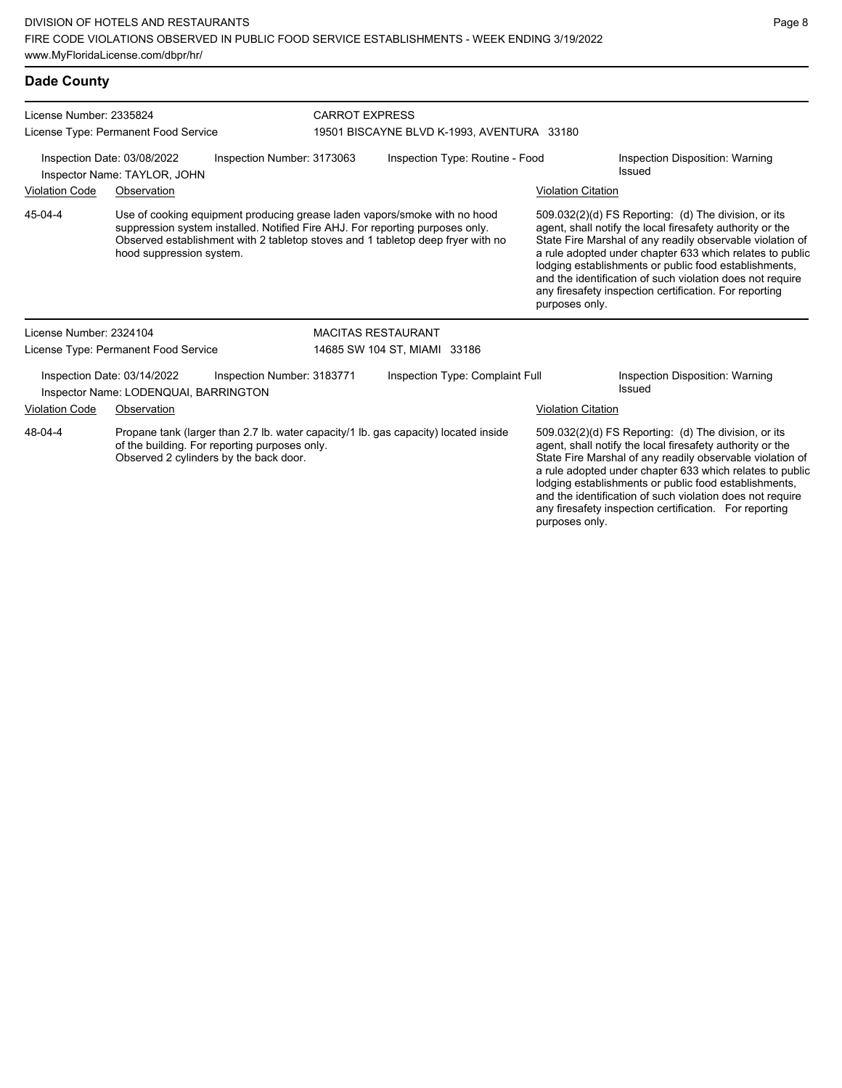| <b>Dade County</b>                                                                                                                                                                        |                                                                                                                                                                                                                                                                           |                            |                                           |                                                                                                                                                                                                                                                                                                                                                                                                                                              |                                                                                                                                                                                |                                                  |
|-------------------------------------------------------------------------------------------------------------------------------------------------------------------------------------------|---------------------------------------------------------------------------------------------------------------------------------------------------------------------------------------------------------------------------------------------------------------------------|----------------------------|-------------------------------------------|----------------------------------------------------------------------------------------------------------------------------------------------------------------------------------------------------------------------------------------------------------------------------------------------------------------------------------------------------------------------------------------------------------------------------------------------|--------------------------------------------------------------------------------------------------------------------------------------------------------------------------------|--------------------------------------------------|
| License Number: 2335824                                                                                                                                                                   | License Type: Permanent Food Service                                                                                                                                                                                                                                      |                            | <b>CARROT EXPRESS</b>                     | 19501 BISCAYNE BLVD K-1993, AVENTURA 33180                                                                                                                                                                                                                                                                                                                                                                                                   |                                                                                                                                                                                |                                                  |
| Inspection Date: 03/08/2022<br>Inspection Number: 3173063<br>Inspector Name: TAYLOR, JOHN                                                                                                 |                                                                                                                                                                                                                                                                           |                            | Inspection Type: Routine - Food<br>Issued |                                                                                                                                                                                                                                                                                                                                                                                                                                              | <b>Inspection Disposition: Warning</b>                                                                                                                                         |                                                  |
| <b>Violation Code</b>                                                                                                                                                                     | Observation                                                                                                                                                                                                                                                               |                            |                                           |                                                                                                                                                                                                                                                                                                                                                                                                                                              | <b>Violation Citation</b>                                                                                                                                                      |                                                  |
| 45-04-4                                                                                                                                                                                   | Use of cooking equipment producing grease laden vapors/smoke with no hood<br>suppression system installed. Notified Fire AHJ. For reporting purposes only.<br>Observed establishment with 2 tabletop stoves and 1 tabletop deep fryer with no<br>hood suppression system. |                            |                                           | 509.032(2)(d) FS Reporting: (d) The division, or its<br>agent, shall notify the local firesafety authority or the<br>State Fire Marshal of any readily observable violation of<br>a rule adopted under chapter 633 which relates to public<br>lodging establishments or public food establishments,<br>and the identification of such violation does not require<br>any firesafety inspection certification. For reporting<br>purposes only. |                                                                                                                                                                                |                                                  |
| License Number: 2324104                                                                                                                                                                   |                                                                                                                                                                                                                                                                           |                            |                                           | <b>MACITAS RESTAURANT</b>                                                                                                                                                                                                                                                                                                                                                                                                                    |                                                                                                                                                                                |                                                  |
|                                                                                                                                                                                           | License Type: Permanent Food Service                                                                                                                                                                                                                                      |                            | 14685 SW 104 ST, MIAMI 33186              |                                                                                                                                                                                                                                                                                                                                                                                                                                              |                                                                                                                                                                                |                                                  |
|                                                                                                                                                                                           | Inspection Date: 03/14/2022<br>Inspector Name: LODENQUAI, BARRINGTON                                                                                                                                                                                                      | Inspection Number: 3183771 |                                           | Inspection Type: Complaint Full                                                                                                                                                                                                                                                                                                                                                                                                              |                                                                                                                                                                                | <b>Inspection Disposition: Warning</b><br>Issued |
| <b>Violation Code</b>                                                                                                                                                                     | Observation                                                                                                                                                                                                                                                               |                            |                                           |                                                                                                                                                                                                                                                                                                                                                                                                                                              | <b>Violation Citation</b>                                                                                                                                                      |                                                  |
| 48-04-4<br>Propane tank (larger than 2.7 lb. water capacity/1 lb. gas capacity) located inside<br>of the building. For reporting purposes only.<br>Observed 2 cylinders by the back door. |                                                                                                                                                                                                                                                                           |                            |                                           |                                                                                                                                                                                                                                                                                                                                                                                                                                              | 509.032(2)(d) FS Reporting: (d) The division, or its<br>agent, shall notify the local firesafety authority or the<br>State Fire Marshal of any readily observable violation of |                                                  |

a rule adopted under chapter 633 which relates to public lodging establishments or public food establishments, and the identification of such violation does not require any firesafety inspection certification. For reporting purposes only.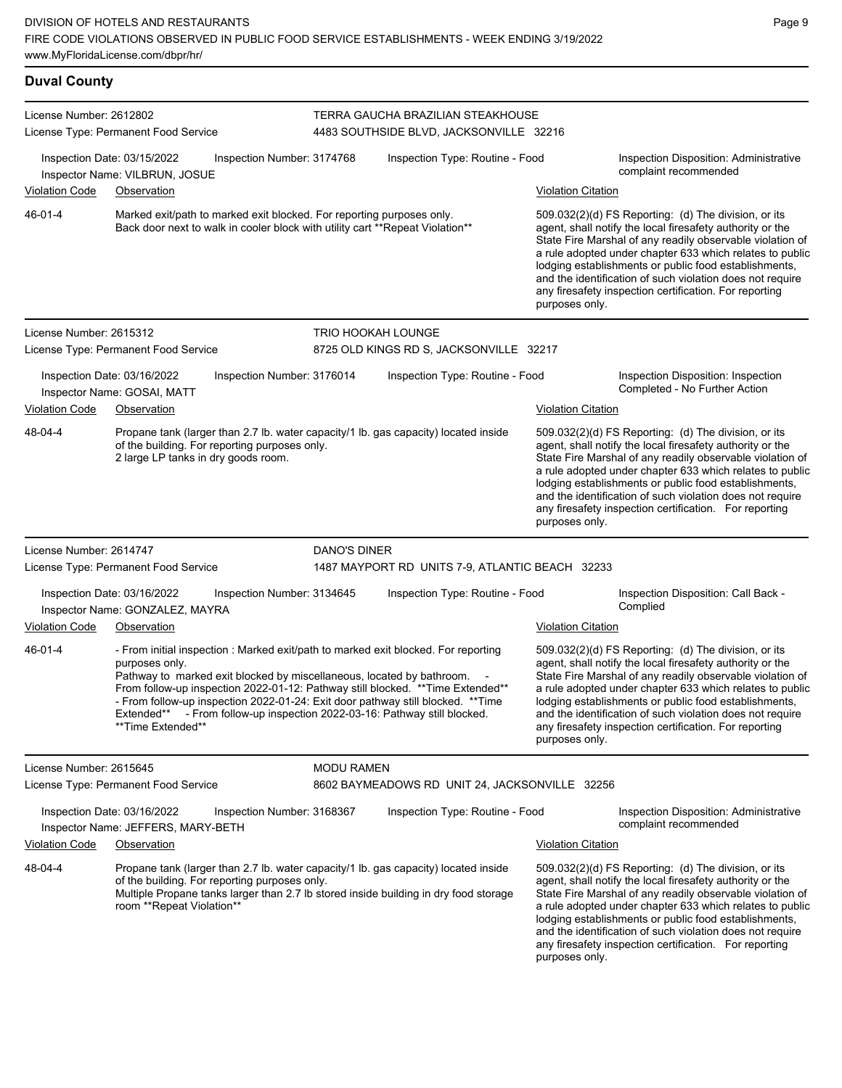#### **Duval County** License Number: 2612802 License Type: Permanent Food Service TERRA GAUCHA BRAZILIAN STEAKHOUSE 4483 SOUTHSIDE BLVD, JACKSONVILLE 32216 Inspection Date: 03/15/2022 Inspection Number: 3174768 Inspection Type: Routine - Food Inspection Disposition: Administrative complaint recommended Inspector Name: VILBRUN, JOSUE Violation Code Observation Violation Citation Marked exit/path to marked exit blocked. For reporting purposes only. Back door next to walk in cooler block with utility cart \*\*Repeat Violation\*\* 509.032(2)(d) FS Reporting: (d) The division, or its agent, shall notify the local firesafety authority or the State Fire Marshal of any readily observable violation of a rule adopted under chapter 633 which relates to public lodging establishments or public food establishments, and the identification of such violation does not require any firesafety inspection certification. For reporting purposes only. 46-01-4 License Number: 2615312 License Type: Permanent Food Service TRIO HOOKAH LOUNGE 8725 OLD KINGS RD S, JACKSONVILLE 32217 Inspection Date: 03/16/2022 Inspection Number: 3176014 Inspection Type: Routine - Food Inspection Disposition: Inspection Inspector Name: GOSAI, MATT Violation Code Observation **Violation Citation** Violation Citation Citation Propane tank (larger than 2.7 lb. water capacity/1 lb. gas capacity) located inside of the building. For reporting purposes only. 2 large LP tanks in dry goods room. 509.032(2)(d) FS Reporting: (d) The division, or its agent, shall notify the local firesafety authority or the State Fire Marshal of any readily observable violation of a rule adopted under chapter 633 which relates to public lodging establishments or public food establishments, and the identification of such violation does not require any firesafety inspection certification. For reporting purposes only. 48-04-4 License Number: 2614747 License Type: Permanent Food Service DANO'S DINER 1487 MAYPORT RD UNITS 7-9, ATLANTIC BEACH 32233 Inspection Date: 03/16/2022 Inspection Number: 3134645 Inspection Type: Routine - Food Inspection Disposition: Call Back -<br>Inspector Name: GONZALEZ MAYRA Inspector Name: GONZALEZ, MAYRA Violation Code Observation Violation Citation - From initial inspection : Marked exit/path to marked exit blocked. For reporting purposes only. Pathway to marked exit blocked by miscellaneous, located by bathroom. From follow-up inspection 2022-01-12: Pathway still blocked. \*\*Time Extended\*\* - From follow-up inspection 2022-01-24: Exit door pathway still blocked. \*\*Time Extended\*\* - From follow-up inspection 2022-03-16: Pathway still blocked. \*Time Extended\* 509.032(2)(d) FS Reporting: (d) The division, or its agent, shall notify the local firesafety authority or the State Fire Marshal of any readily observable violation of a rule adopted under chapter 633 which relates to public lodging establishments or public food establishments, and the identification of such violation does not require any firesafety inspection certification. For reporting purposes only. 46-01-4 License Number: 2615645 License Type: Permanent Food Service MODU RAMEN 8602 BAYMEADOWS RD UNIT 24, JACKSONVILLE 32256 Inspection Date: 03/16/2022 Inspection Number: 3168367 Inspection Type: Routine - Food Inspection Disposition: Administrative complaint recommended Inspector Name: JEFFERS, MARY-BETH Violation Code Observation Violation Citation Propane tank (larger than 2.7 lb. water capacity/1 lb. gas capacity) located inside of the building. For reporting purposes only. Multiple Propane tanks larger than 2.7 lb stored inside building in dry food storage room \*\*Repeat Violation\*\* 509.032(2)(d) FS Reporting: (d) The division, or its agent, shall notify the local firesafety authority or the State Fire Marshal of any readily observable violation of a rule adopted under chapter 633 which relates to public lodging establishments or public food establishments, and the identification of such violation does not require 48-04-4

any firesafety inspection certification. For reporting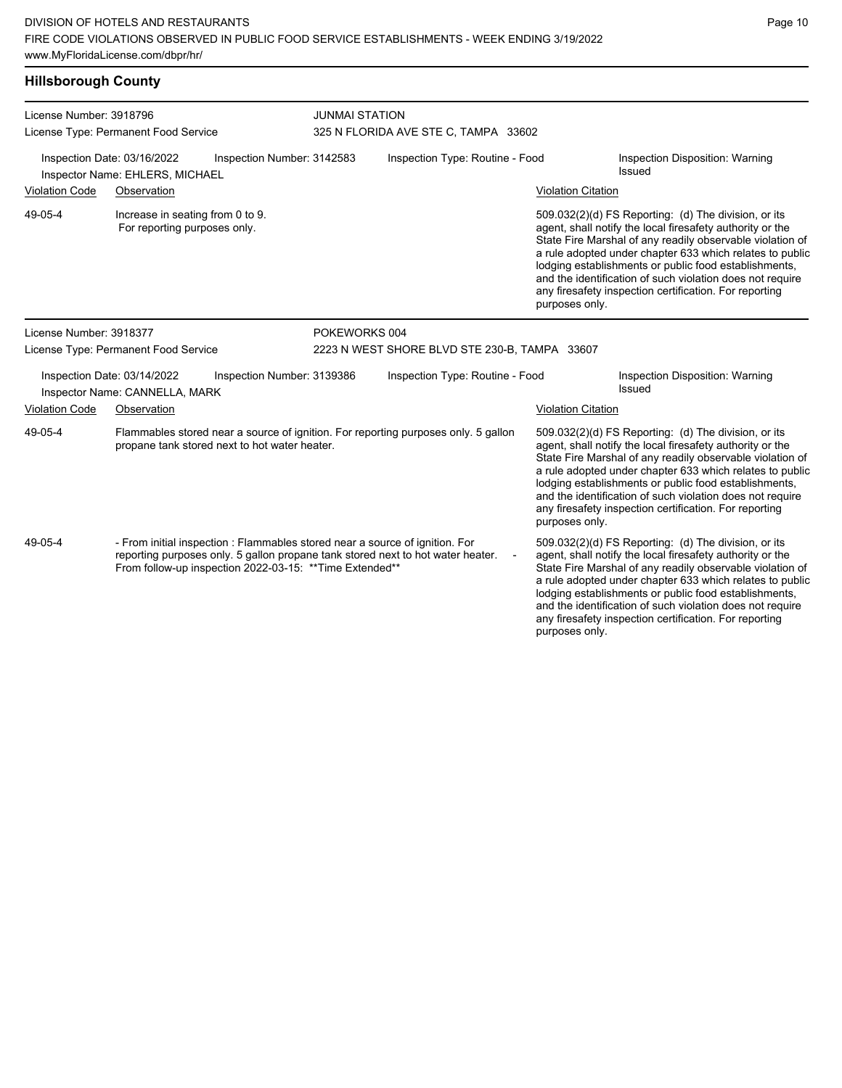## **Hillsborough County**

| License Number: 3918796                                                                      | License Type: Permanent Food Service                             |                                                                                                                                          | <b>JUNMAI STATION</b><br>325 N FLORIDA AVE STE C, TAMPA 33602 |                                                                                    |                           |                                                                                                                                                                                                                                                                                                                                                                                                                                              |  |  |
|----------------------------------------------------------------------------------------------|------------------------------------------------------------------|------------------------------------------------------------------------------------------------------------------------------------------|---------------------------------------------------------------|------------------------------------------------------------------------------------|---------------------------|----------------------------------------------------------------------------------------------------------------------------------------------------------------------------------------------------------------------------------------------------------------------------------------------------------------------------------------------------------------------------------------------------------------------------------------------|--|--|
| Inspection Number: 3142583<br>Inspection Date: 03/16/2022<br>Inspector Name: EHLERS, MICHAEL |                                                                  |                                                                                                                                          | Inspection Type: Routine - Food                               |                                                                                    |                           | Inspection Disposition: Warning<br>Issued                                                                                                                                                                                                                                                                                                                                                                                                    |  |  |
| <b>Violation Code</b>                                                                        | Observation                                                      |                                                                                                                                          |                                                               |                                                                                    | <b>Violation Citation</b> |                                                                                                                                                                                                                                                                                                                                                                                                                                              |  |  |
| 49-05-4                                                                                      | Increase in seating from 0 to 9.<br>For reporting purposes only. |                                                                                                                                          |                                                               |                                                                                    |                           | 509.032(2)(d) FS Reporting: (d) The division, or its<br>agent, shall notify the local firesafety authority or the<br>State Fire Marshal of any readily observable violation of<br>a rule adopted under chapter 633 which relates to public<br>lodging establishments or public food establishments,<br>and the identification of such violation does not require<br>any firesafety inspection certification. For reporting<br>purposes only. |  |  |
| License Number: 3918377                                                                      |                                                                  |                                                                                                                                          | POKEWORKS 004                                                 |                                                                                    |                           |                                                                                                                                                                                                                                                                                                                                                                                                                                              |  |  |
|                                                                                              | License Type: Permanent Food Service                             |                                                                                                                                          |                                                               | 2223 N WEST SHORE BLVD STE 230-B, TAMPA 33607                                      |                           |                                                                                                                                                                                                                                                                                                                                                                                                                                              |  |  |
|                                                                                              | Inspection Date: 03/14/2022<br>Inspector Name: CANNELLA, MARK    | Inspection Number: 3139386                                                                                                               |                                                               | Inspection Type: Routine - Food                                                    |                           | Inspection Disposition: Warning<br>Issued                                                                                                                                                                                                                                                                                                                                                                                                    |  |  |
| <b>Violation Code</b>                                                                        | Observation                                                      |                                                                                                                                          |                                                               |                                                                                    | <b>Violation Citation</b> |                                                                                                                                                                                                                                                                                                                                                                                                                                              |  |  |
| 49-05-4                                                                                      |                                                                  | propane tank stored next to hot water heater.                                                                                            |                                                               | Flammables stored near a source of ignition. For reporting purposes only. 5 gallon | purposes only.            | 509.032(2)(d) FS Reporting: (d) The division, or its<br>agent, shall notify the local firesafety authority or the<br>State Fire Marshal of any readily observable violation of<br>a rule adopted under chapter 633 which relates to public<br>lodging establishments or public food establishments,<br>and the identification of such violation does not require<br>any firesafety inspection certification. For reporting                   |  |  |
| 49-05-4                                                                                      |                                                                  | - From initial inspection : Flammables stored near a source of ignition. For<br>From follow-up inspection 2022-03-15: ** Time Extended** |                                                               | reporting purposes only. 5 gallon propane tank stored next to hot water heater.    | purposes only.            | 509.032(2)(d) FS Reporting: (d) The division, or its<br>agent, shall notify the local firesafety authority or the<br>State Fire Marshal of any readily observable violation of<br>a rule adopted under chapter 633 which relates to public<br>lodging establishments or public food establishments,<br>and the identification of such violation does not require<br>any firesafety inspection certification. For reporting                   |  |  |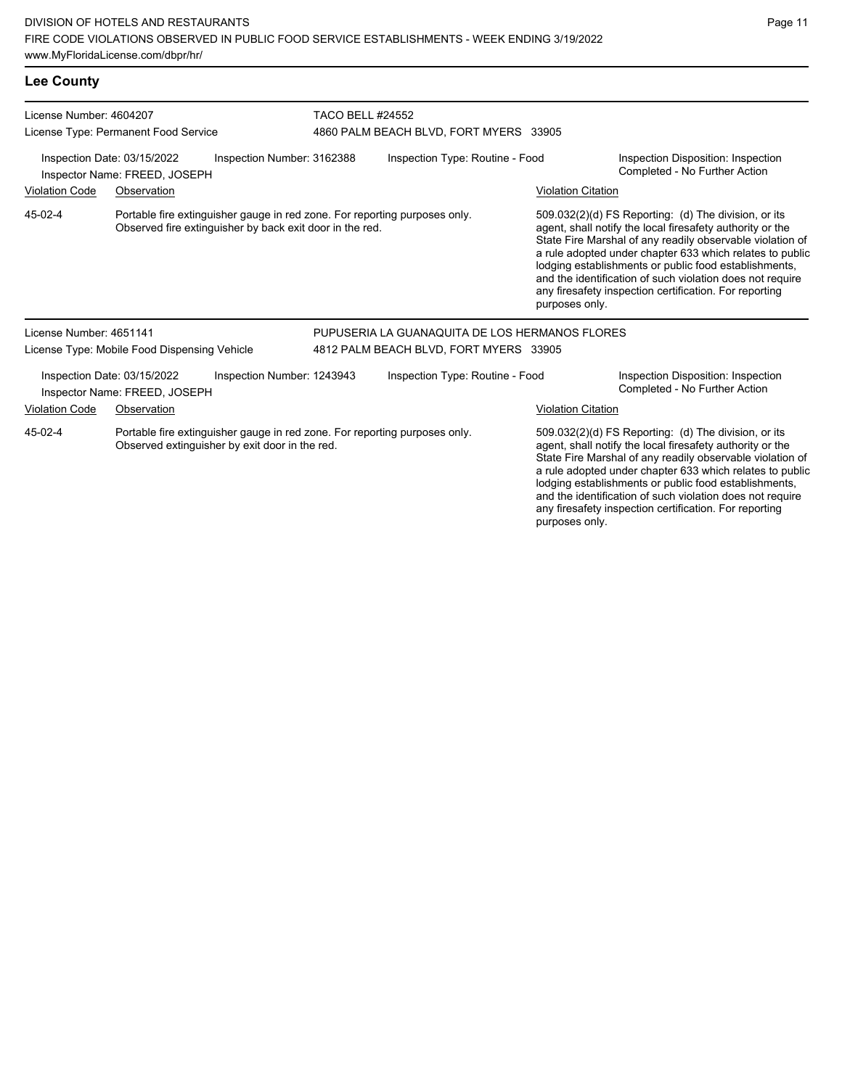| <b>Lee County</b>                                                                          |                                                              |                                                                                                                                        |                                        |                                                                   |                           |                                                                                                                                                                                                                                                                                                                                                                                                                            |  |  |  |
|--------------------------------------------------------------------------------------------|--------------------------------------------------------------|----------------------------------------------------------------------------------------------------------------------------------------|----------------------------------------|-------------------------------------------------------------------|---------------------------|----------------------------------------------------------------------------------------------------------------------------------------------------------------------------------------------------------------------------------------------------------------------------------------------------------------------------------------------------------------------------------------------------------------------------|--|--|--|
| License Number: 4604207                                                                    | License Type: Permanent Food Service                         |                                                                                                                                        |                                        | <b>TACO BELL #24552</b><br>4860 PALM BEACH BLVD, FORT MYERS 33905 |                           |                                                                                                                                                                                                                                                                                                                                                                                                                            |  |  |  |
| Inspection Number: 3162388<br>Inspection Date: 03/15/2022<br>Inspector Name: FREED, JOSEPH |                                                              |                                                                                                                                        | Inspection Type: Routine - Food        |                                                                   |                           | Inspection Disposition: Inspection<br>Completed - No Further Action                                                                                                                                                                                                                                                                                                                                                        |  |  |  |
| <b>Violation Code</b>                                                                      | Observation                                                  |                                                                                                                                        |                                        |                                                                   | <b>Violation Citation</b> |                                                                                                                                                                                                                                                                                                                                                                                                                            |  |  |  |
| 45-02-4                                                                                    |                                                              | Portable fire extinguisher gauge in red zone. For reporting purposes only.<br>Observed fire extinguisher by back exit door in the red. |                                        |                                                                   | purposes only.            | 509.032(2)(d) FS Reporting: (d) The division, or its<br>agent, shall notify the local firesafety authority or the<br>State Fire Marshal of any readily observable violation of<br>a rule adopted under chapter 633 which relates to public<br>lodging establishments or public food establishments,<br>and the identification of such violation does not require<br>any firesafety inspection certification. For reporting |  |  |  |
| License Number: 4651141                                                                    |                                                              |                                                                                                                                        |                                        | PUPUSERIA LA GUANAQUITA DE LOS HERMANOS FLORES                    |                           |                                                                                                                                                                                                                                                                                                                                                                                                                            |  |  |  |
|                                                                                            | License Type: Mobile Food Dispensing Vehicle                 |                                                                                                                                        | 4812 PALM BEACH BLVD, FORT MYERS 33905 |                                                                   |                           |                                                                                                                                                                                                                                                                                                                                                                                                                            |  |  |  |
|                                                                                            | Inspection Date: 03/15/2022<br>Inspector Name: FREED, JOSEPH | Inspection Number: 1243943                                                                                                             |                                        | Inspection Type: Routine - Food                                   |                           | Inspection Disposition: Inspection<br>Completed - No Further Action                                                                                                                                                                                                                                                                                                                                                        |  |  |  |
| <b>Violation Code</b>                                                                      | Observation                                                  |                                                                                                                                        |                                        |                                                                   | <b>Violation Citation</b> |                                                                                                                                                                                                                                                                                                                                                                                                                            |  |  |  |
| 45-02-4                                                                                    |                                                              | Portable fire extinguisher gauge in red zone. For reporting purposes only.<br>Observed extinguisher by exit door in the red.           |                                        |                                                                   |                           | 509.032(2)(d) FS Reporting: (d) The division, or its<br>agent, shall notify the local firesafety authority or the                                                                                                                                                                                                                                                                                                          |  |  |  |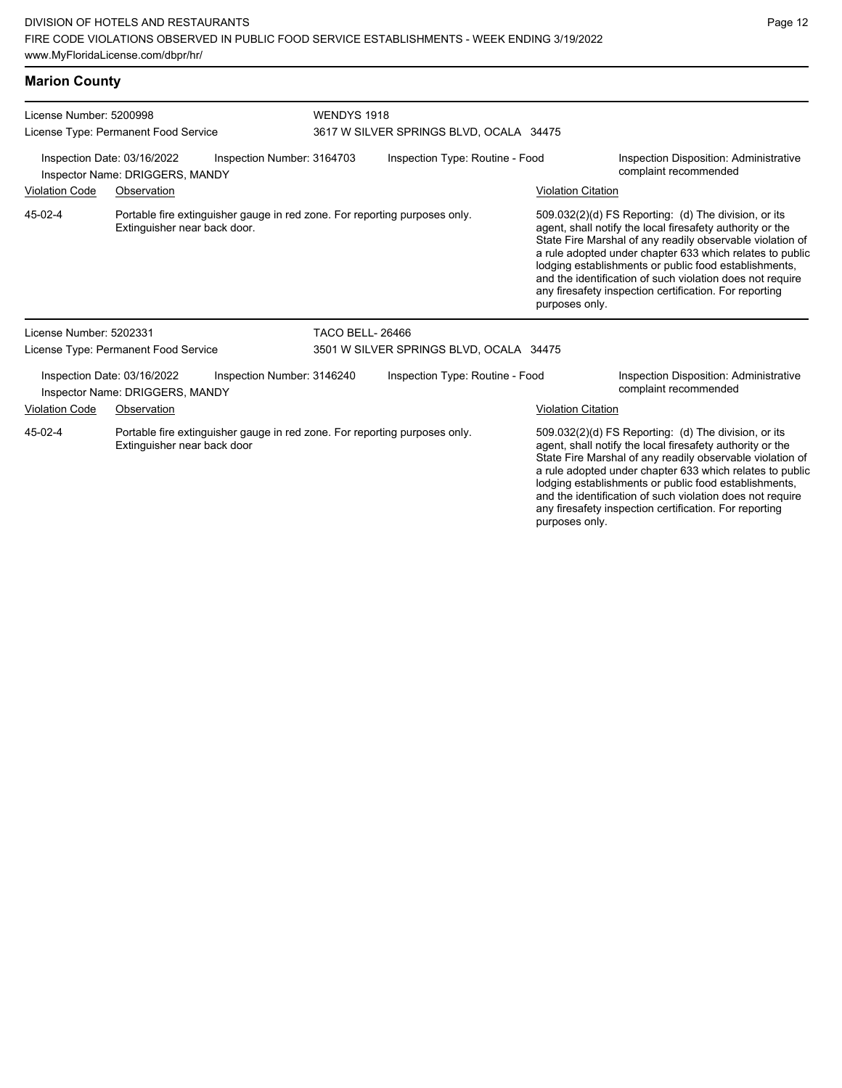| License Number: 5200998                                                                      |                                                                | WENDYS 1918                                                                |                                         |                                         |                                                                 |                                                                                                                                                                                                                                                                                                                                                                                                                            |  |
|----------------------------------------------------------------------------------------------|----------------------------------------------------------------|----------------------------------------------------------------------------|-----------------------------------------|-----------------------------------------|-----------------------------------------------------------------|----------------------------------------------------------------------------------------------------------------------------------------------------------------------------------------------------------------------------------------------------------------------------------------------------------------------------------------------------------------------------------------------------------------------------|--|
|                                                                                              | License Type: Permanent Food Service                           |                                                                            | 3617 W SILVER SPRINGS BLVD, OCALA 34475 |                                         |                                                                 |                                                                                                                                                                                                                                                                                                                                                                                                                            |  |
| Inspection Date: 03/16/2022<br>Inspection Number: 3164703<br>Inspector Name: DRIGGERS, MANDY |                                                                |                                                                            | Inspection Type: Routine - Food         |                                         | Inspection Disposition: Administrative<br>complaint recommended |                                                                                                                                                                                                                                                                                                                                                                                                                            |  |
| <b>Violation Code</b><br>Observation                                                         |                                                                |                                                                            |                                         |                                         | <b>Violation Citation</b>                                       |                                                                                                                                                                                                                                                                                                                                                                                                                            |  |
| 45-02-4                                                                                      | Extinguisher near back door.                                   | Portable fire extinguisher gauge in red zone. For reporting purposes only. |                                         |                                         | purposes only.                                                  | 509.032(2)(d) FS Reporting: (d) The division, or its<br>agent, shall notify the local firesafety authority or the<br>State Fire Marshal of any readily observable violation of<br>a rule adopted under chapter 633 which relates to public<br>lodging establishments or public food establishments,<br>and the identification of such violation does not require<br>any firesafety inspection certification. For reporting |  |
| License Number: 5202331                                                                      |                                                                |                                                                            | <b>TACO BELL-26466</b>                  |                                         |                                                                 |                                                                                                                                                                                                                                                                                                                                                                                                                            |  |
|                                                                                              | License Type: Permanent Food Service                           |                                                                            |                                         | 3501 W SILVER SPRINGS BLVD, OCALA 34475 |                                                                 |                                                                                                                                                                                                                                                                                                                                                                                                                            |  |
|                                                                                              | Inspection Date: 03/16/2022<br>Inspector Name: DRIGGERS, MANDY | Inspection Number: 3146240                                                 |                                         | Inspection Type: Routine - Food         |                                                                 | Inspection Disposition: Administrative<br>complaint recommended                                                                                                                                                                                                                                                                                                                                                            |  |
| <b>Violation Code</b>                                                                        | Observation                                                    |                                                                            |                                         |                                         | <b>Violation Citation</b>                                       |                                                                                                                                                                                                                                                                                                                                                                                                                            |  |
| 45-02-4                                                                                      | Extinguisher near back door                                    | Portable fire extinguisher gauge in red zone. For reporting purposes only. |                                         |                                         |                                                                 | 509.032(2)(d) FS Reporting: (d) The division, or its<br>agent, shall notify the local firesafety authority or the<br>State Fire Marshal of any readily observable violation of<br>a rule adopted under chapter 633 which relates to public<br>lodging establishments or public food establishments,                                                                                                                        |  |

Page 12

and the identification of such violation does not require any firesafety inspection certification. For reporting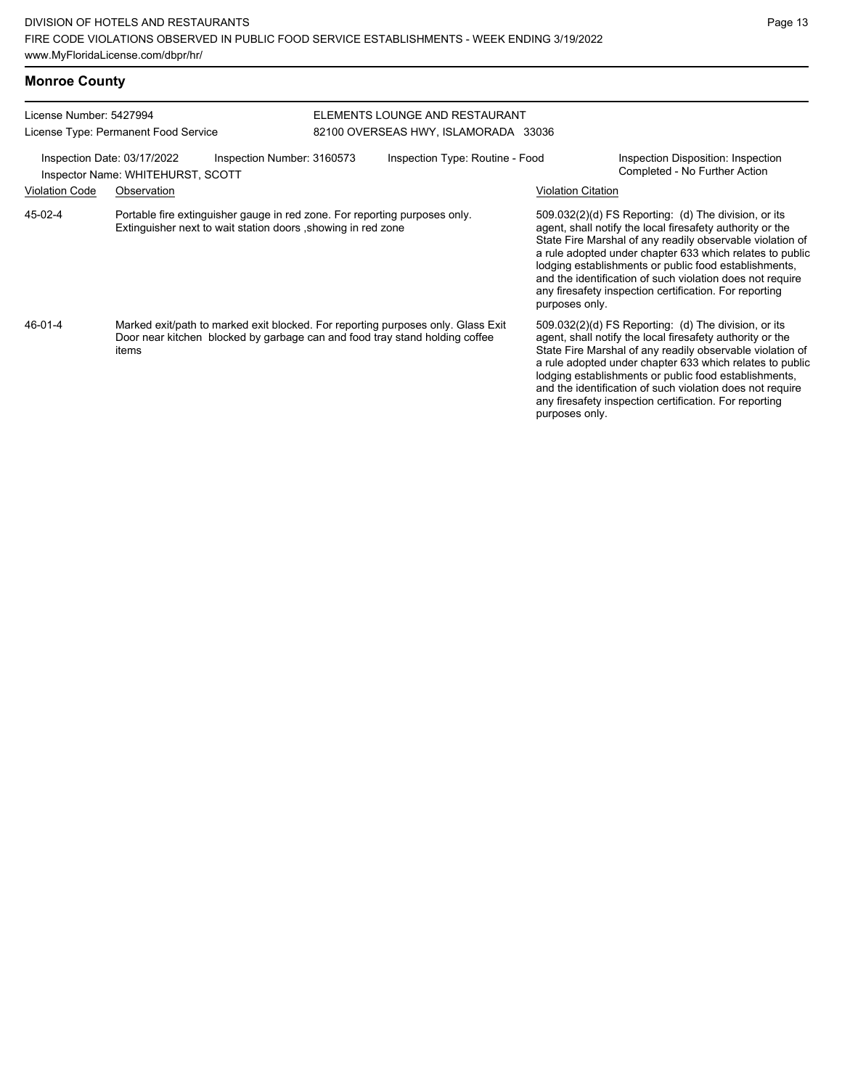| <b>Monroe County</b>                                                                           |                                                                                                                                                                          |                                 |                                                                        |                           |                                                                                                                                                                                                                                                                                                                                                                                                                            |
|------------------------------------------------------------------------------------------------|--------------------------------------------------------------------------------------------------------------------------------------------------------------------------|---------------------------------|------------------------------------------------------------------------|---------------------------|----------------------------------------------------------------------------------------------------------------------------------------------------------------------------------------------------------------------------------------------------------------------------------------------------------------------------------------------------------------------------------------------------------------------------|
| License Number: 5427994                                                                        | License Type: Permanent Food Service                                                                                                                                     |                                 | FLEMENTS LOUNGE AND RESTAURANT<br>82100 OVERSEAS HWY, ISLAMORADA 33036 |                           |                                                                                                                                                                                                                                                                                                                                                                                                                            |
| Inspection Date: 03/17/2022<br>Inspection Number: 3160573<br>Inspector Name: WHITEHURST, SCOTT |                                                                                                                                                                          | Inspection Type: Routine - Food |                                                                        |                           | Inspection Disposition: Inspection<br>Completed - No Further Action                                                                                                                                                                                                                                                                                                                                                        |
| <b>Violation Code</b>                                                                          | Observation                                                                                                                                                              |                                 |                                                                        | <b>Violation Citation</b> |                                                                                                                                                                                                                                                                                                                                                                                                                            |
| $45-02-4$                                                                                      | Portable fire extinguisher gauge in red zone. For reporting purposes only.<br>Extinguisher next to wait station doors , showing in red zone                              |                                 |                                                                        | purposes only.            | 509.032(2)(d) FS Reporting: (d) The division, or its<br>agent, shall notify the local firesafety authority or the<br>State Fire Marshal of any readily observable violation of<br>a rule adopted under chapter 633 which relates to public<br>lodging establishments or public food establishments,<br>and the identification of such violation does not require<br>any firesafety inspection certification. For reporting |
| 46-01-4                                                                                        | Marked exit/path to marked exit blocked. For reporting purposes only. Glass Exit<br>Door near kitchen blocked by garbage can and food tray stand holding coffee<br>items |                                 |                                                                        | purposes only.            | 509.032(2)(d) FS Reporting: (d) The division, or its<br>agent, shall notify the local firesafety authority or the<br>State Fire Marshal of any readily observable violation of<br>a rule adopted under chapter 633 which relates to public<br>lodging establishments or public food establishments,<br>and the identification of such violation does not require<br>any firesafety inspection certification. For reporting |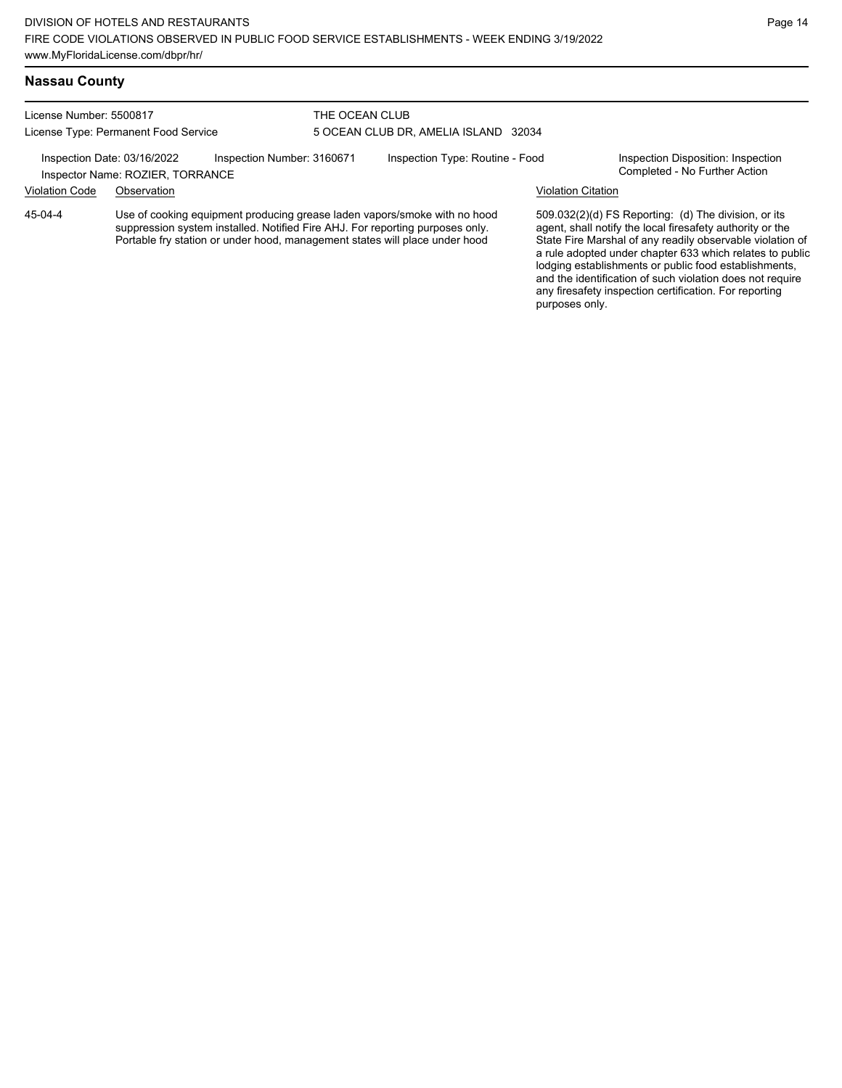### **Nassau County**

License Number: 5500817 License Type: Permanent Food Service

### THE OCEAN CLUB 5 OCEAN CLUB DR, AMELIA ISLAND 32034

Inspection Date: 03/16/2022 Inspection Number: 3160671 Inspection Type: Routine - Food Inspection Disposition: Inspection<br>Inspector Name: ROZIER TORRANCE

# Inspector Name: ROZIER, TORRANCE

Violation Code Observation Violation Citation

Use of cooking equipment producing grease laden vapors/smoke with no hood suppression system installed. Notified Fire AHJ. For reporting purposes only. Portable fry station or under hood, management states will place under hood 45-04-4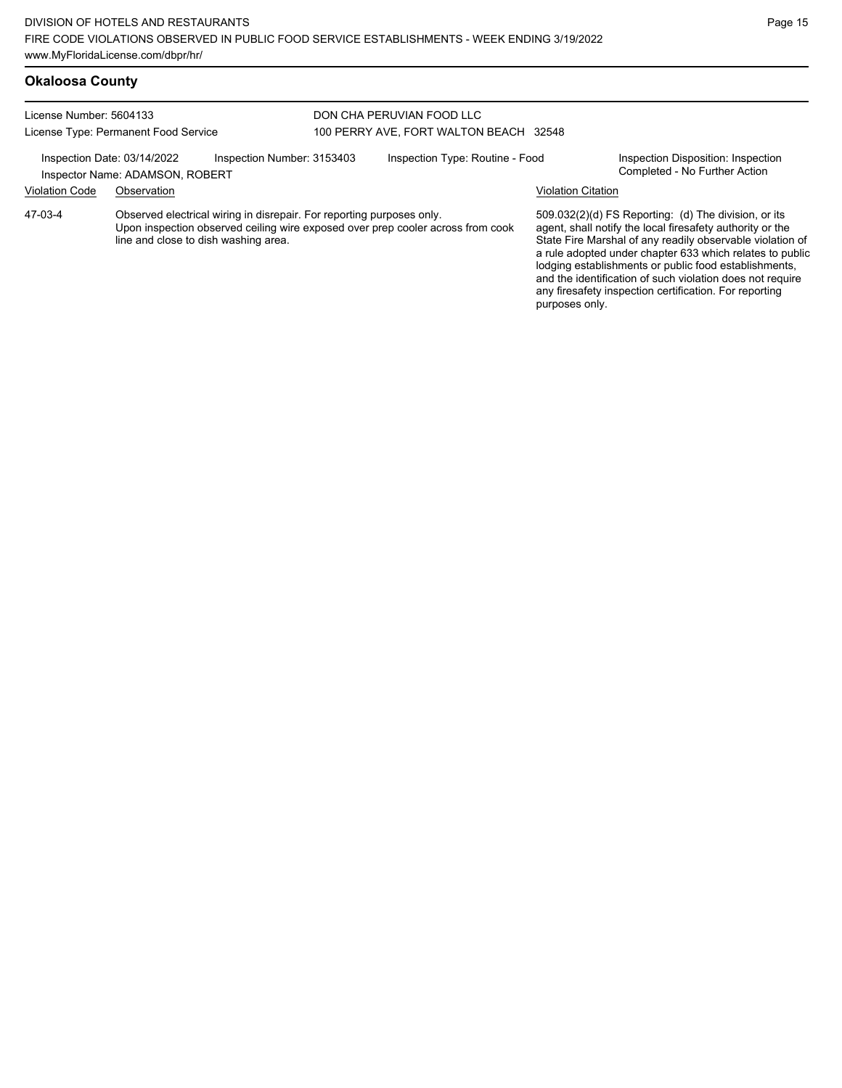#### **Okaloosa County** License Number: 5604133 License Type: Permanent Food Service DON CHA PERUVIAN FOOD LLC 100 PERRY AVE, FORT WALTON BEACH 32548 Inspection Date: 03/14/2022 Inspection Number: 3153403 Inspection Type: Routine - Food Inspection Disposition: Inspection<br>Inspector Name: ADAMSON, ROBERT Inspector Name: ADAMSON, ROBERT Violation Code Observation Violation Citation Observed electrical wiring in disrepair. For reporting purposes only. Upon inspection observed ceiling wire exposed over prep cooler across from cook line and close to dish washing area. 509.032(2)(d) FS Reporting: (d) The division, or its agent, shall notify the local firesafety authority or the State Fire Marshal of any readily observable violation of a rule adopted under chapter 633 which relates to public lodging establishments or public food establishments, and the identification of such violation does not require any firesafety inspection certification. For reporting 47-03-4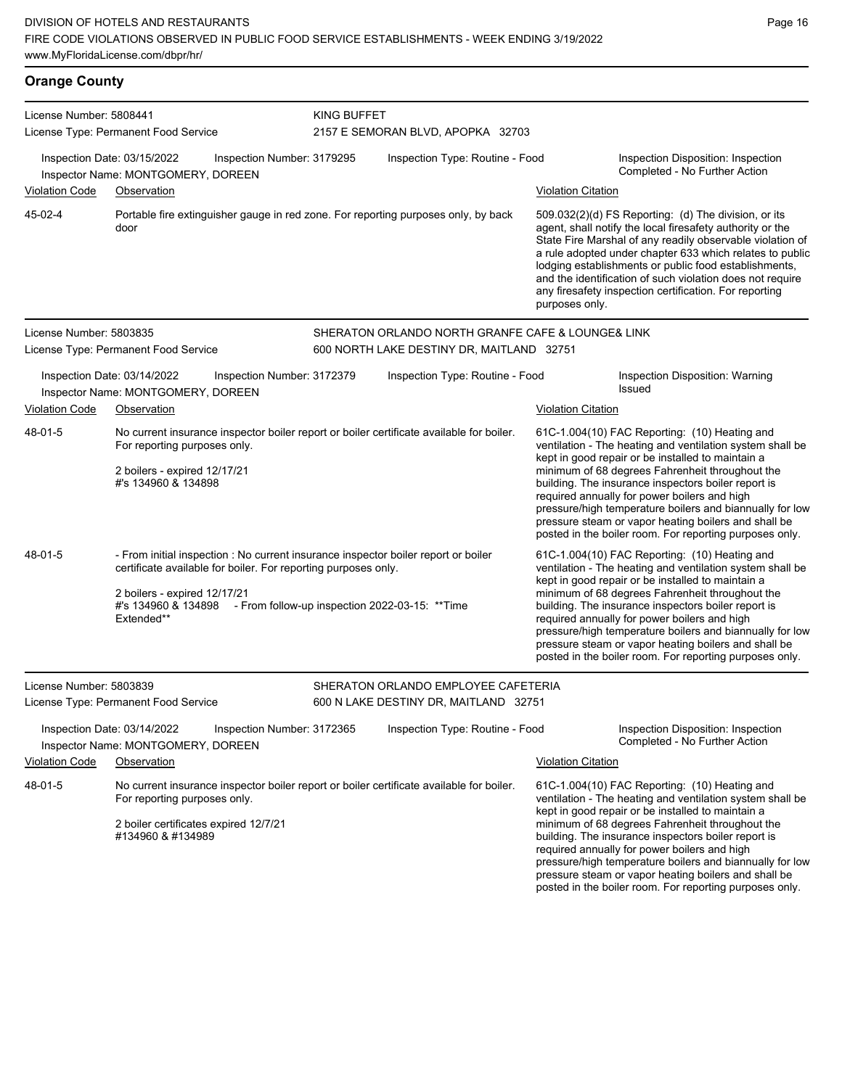| <b>Orange County</b>    |                                                                                                                                                                                 |                                                                                                                                                                                                                             |                                                                                                |                                                                                                                                                                                                                                                                                                                                                                                                                                                                                                          |                                                                                                                                                                                                                                                                                                                                                                                                                                                                                                          |  |  |
|-------------------------|---------------------------------------------------------------------------------------------------------------------------------------------------------------------------------|-----------------------------------------------------------------------------------------------------------------------------------------------------------------------------------------------------------------------------|------------------------------------------------------------------------------------------------|----------------------------------------------------------------------------------------------------------------------------------------------------------------------------------------------------------------------------------------------------------------------------------------------------------------------------------------------------------------------------------------------------------------------------------------------------------------------------------------------------------|----------------------------------------------------------------------------------------------------------------------------------------------------------------------------------------------------------------------------------------------------------------------------------------------------------------------------------------------------------------------------------------------------------------------------------------------------------------------------------------------------------|--|--|
| License Number: 5808441 | License Type: Permanent Food Service                                                                                                                                            |                                                                                                                                                                                                                             | KING BUFFET<br>2157 E SEMORAN BLVD, APOPKA 32703                                               |                                                                                                                                                                                                                                                                                                                                                                                                                                                                                                          |                                                                                                                                                                                                                                                                                                                                                                                                                                                                                                          |  |  |
|                         | Inspection Date: 03/15/2022<br>Inspector Name: MONTGOMERY, DOREEN                                                                                                               | Inspection Number: 3179295                                                                                                                                                                                                  | Inspection Type: Routine - Food                                                                |                                                                                                                                                                                                                                                                                                                                                                                                                                                                                                          | Inspection Disposition: Inspection<br>Completed - No Further Action                                                                                                                                                                                                                                                                                                                                                                                                                                      |  |  |
| Violation Code          | Observation                                                                                                                                                                     |                                                                                                                                                                                                                             |                                                                                                | <b>Violation Citation</b>                                                                                                                                                                                                                                                                                                                                                                                                                                                                                |                                                                                                                                                                                                                                                                                                                                                                                                                                                                                                          |  |  |
| 45-02-4                 | Portable fire extinguisher gauge in red zone. For reporting purposes only, by back<br>door                                                                                      |                                                                                                                                                                                                                             |                                                                                                | 509.032(2)(d) FS Reporting: (d) The division, or its<br>agent, shall notify the local firesafety authority or the<br>State Fire Marshal of any readily observable violation of<br>a rule adopted under chapter 633 which relates to public<br>lodging establishments or public food establishments,<br>and the identification of such violation does not require<br>any firesafety inspection certification. For reporting<br>purposes only.                                                             |                                                                                                                                                                                                                                                                                                                                                                                                                                                                                                          |  |  |
| License Number: 5803835 | License Type: Permanent Food Service                                                                                                                                            |                                                                                                                                                                                                                             | SHERATON ORLANDO NORTH GRANFE CAFE & LOUNGE& LINK<br>600 NORTH LAKE DESTINY DR, MAITLAND 32751 |                                                                                                                                                                                                                                                                                                                                                                                                                                                                                                          |                                                                                                                                                                                                                                                                                                                                                                                                                                                                                                          |  |  |
|                         | Inspection Date: 03/14/2022<br>Inspector Name: MONTGOMERY, DOREEN                                                                                                               | Inspection Number: 3172379                                                                                                                                                                                                  | Inspection Type: Routine - Food                                                                |                                                                                                                                                                                                                                                                                                                                                                                                                                                                                                          | Inspection Disposition: Warning<br>Issued                                                                                                                                                                                                                                                                                                                                                                                                                                                                |  |  |
| <b>Violation Code</b>   | Observation                                                                                                                                                                     |                                                                                                                                                                                                                             |                                                                                                | <b>Violation Citation</b>                                                                                                                                                                                                                                                                                                                                                                                                                                                                                |                                                                                                                                                                                                                                                                                                                                                                                                                                                                                                          |  |  |
| 48-01-5                 | No current insurance inspector boiler report or boiler certificate available for boiler.<br>For reporting purposes only.<br>2 boilers - expired 12/17/21<br>#'s 134960 & 134898 |                                                                                                                                                                                                                             |                                                                                                | 61C-1.004(10) FAC Reporting: (10) Heating and<br>ventilation - The heating and ventilation system shall be<br>kept in good repair or be installed to maintain a<br>minimum of 68 degrees Fahrenheit throughout the<br>building. The insurance inspectors boiler report is<br>required annually for power boilers and high<br>pressure/high temperature boilers and biannually for low<br>pressure steam or vapor heating boilers and shall be<br>posted in the boiler room. For reporting purposes only. |                                                                                                                                                                                                                                                                                                                                                                                                                                                                                                          |  |  |
| 48-01-5                 | 2 boilers - expired 12/17/21<br>Extended**                                                                                                                                      | - From initial inspection : No current insurance inspector boiler report or boiler<br>certificate available for boiler. For reporting purposes only.<br>#'s 134960 & 134898 - From follow-up inspection 2022-03-15: ** Time |                                                                                                |                                                                                                                                                                                                                                                                                                                                                                                                                                                                                                          | 61C-1.004(10) FAC Reporting: (10) Heating and<br>ventilation - The heating and ventilation system shall be<br>kept in good repair or be installed to maintain a<br>minimum of 68 degrees Fahrenheit throughout the<br>building. The insurance inspectors boiler report is<br>required annually for power boilers and high<br>pressure/high temperature boilers and biannually for low<br>pressure steam or vapor heating boilers and shall be<br>posted in the boiler room. For reporting purposes only. |  |  |

| License Number: 5803839 | License Type: Permanent Food Service                                                       |                            | SHERATON ORLANDO EMPLOYEE CAFETERIA<br>600 N LAKE DESTINY DR, MAITLAND 32751             |                           |                                                                                                                                                                                                                                                                                                                                                                                       |
|-------------------------|--------------------------------------------------------------------------------------------|----------------------------|------------------------------------------------------------------------------------------|---------------------------|---------------------------------------------------------------------------------------------------------------------------------------------------------------------------------------------------------------------------------------------------------------------------------------------------------------------------------------------------------------------------------------|
|                         | Inspection Date: 03/14/2022<br>Inspector Name: MONTGOMERY, DOREEN                          | Inspection Number: 3172365 | Inspection Type: Routine - Food                                                          |                           | Inspection Disposition: Inspection<br>Completed - No Further Action                                                                                                                                                                                                                                                                                                                   |
| <b>Violation Code</b>   | Observation                                                                                |                            |                                                                                          | <b>Violation Citation</b> |                                                                                                                                                                                                                                                                                                                                                                                       |
| 48-01-5                 | For reporting purposes only.<br>2 boiler certificates expired 12/7/21<br>#134960 & #134989 |                            | No current insurance inspector boiler report or boiler certificate available for boiler. |                           | 61C-1.004(10) FAC Reporting: (10) Heating and<br>ventilation - The heating and ventilation system shall be<br>kept in good repair or be installed to maintain a<br>minimum of 68 degrees Fahrenheit throughout the<br>building. The insurance inspectors boiler report is<br>required annually for power boilers and high<br>pressure/high temperature boilers and biannually for low |

pressure steam or vapor heating boilers and shall be posted in the boiler room. For reporting purposes only.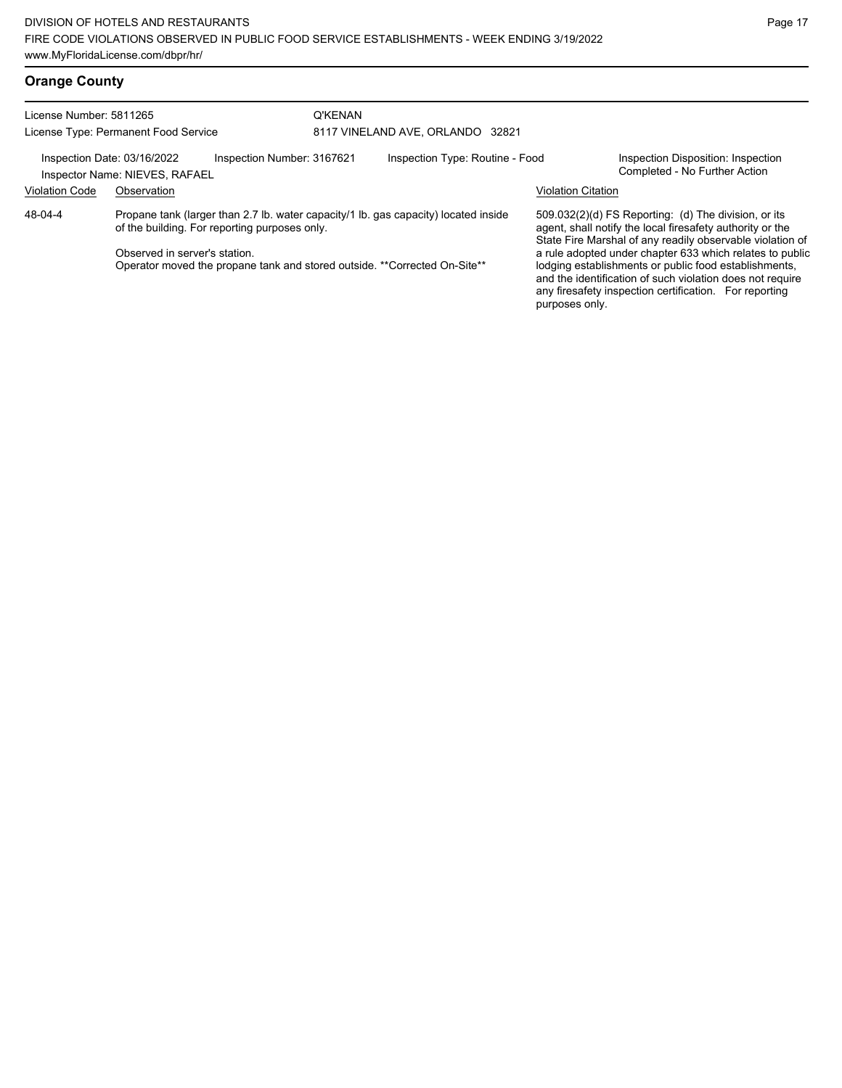| License Number: 5811265 | License Type: Permanent Food Service                          |                                                                                                                            | <b>Q'KENAN</b> | 8117 VINELAND AVE, ORLANDO 32821                                                    |                           |                                                                                                                                                                                                                                                                                                                                                                                                                            |
|-------------------------|---------------------------------------------------------------|----------------------------------------------------------------------------------------------------------------------------|----------------|-------------------------------------------------------------------------------------|---------------------------|----------------------------------------------------------------------------------------------------------------------------------------------------------------------------------------------------------------------------------------------------------------------------------------------------------------------------------------------------------------------------------------------------------------------------|
|                         | Inspection Date: 03/16/2022<br>Inspector Name: NIEVES, RAFAEL | Inspection Number: 3167621                                                                                                 |                | Inspection Type: Routine - Food                                                     |                           | Inspection Disposition: Inspection<br>Completed - No Further Action                                                                                                                                                                                                                                                                                                                                                        |
| <b>Violation Code</b>   | Observation                                                   |                                                                                                                            |                |                                                                                     | <b>Violation Citation</b> |                                                                                                                                                                                                                                                                                                                                                                                                                            |
| 48-04-4                 | Observed in server's station.                                 | of the building. For reporting purposes only.<br>Operator moved the propane tank and stored outside. **Corrected On-Site** |                | Propane tank (larger than 2.7 lb. water capacity/1 lb. gas capacity) located inside | purposes only.            | 509.032(2)(d) FS Reporting: (d) The division, or its<br>agent, shall notify the local firesafety authority or the<br>State Fire Marshal of any readily observable violation of<br>a rule adopted under chapter 633 which relates to public<br>lodging establishments or public food establishments,<br>and the identification of such violation does not require<br>any firesafety inspection certification. For reporting |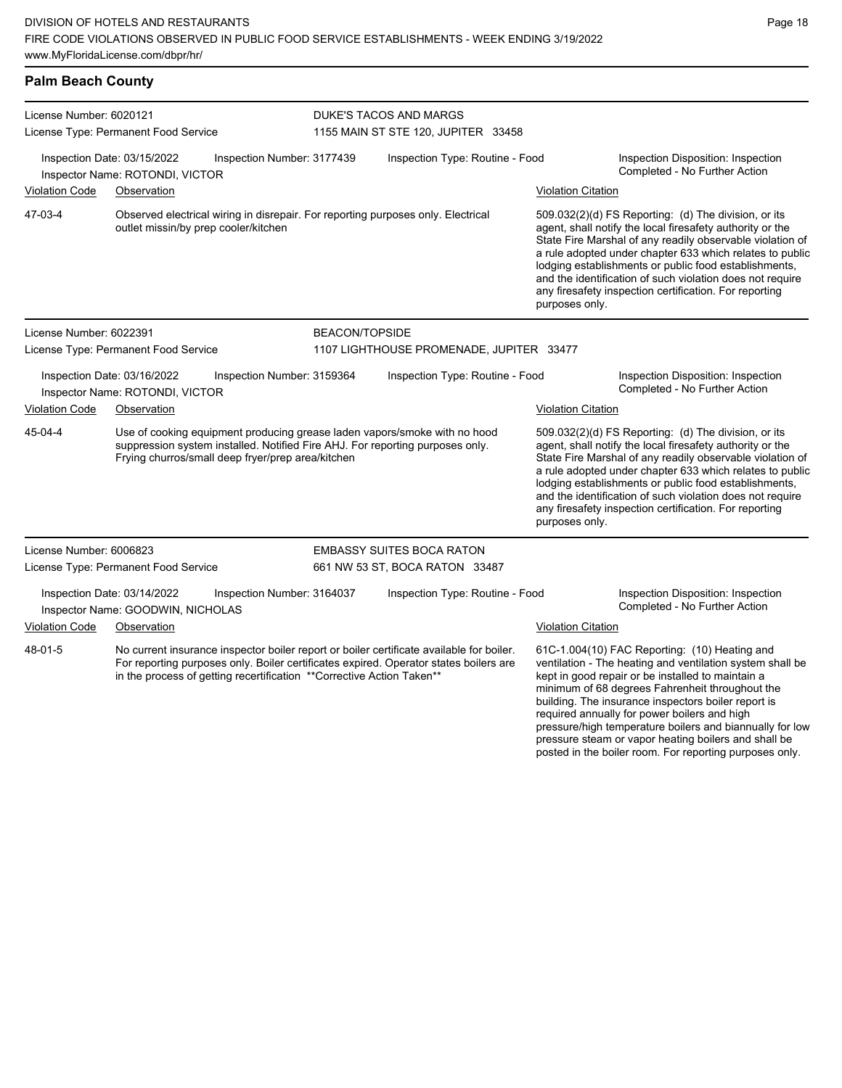| License Number: 6020121 |                                                                                                                                                                                                                                                             |                            | DUKE'S TACOS AND MARGS                   |                           |                                                                                                                                                                                                                                                                                                                                                                                                                            |
|-------------------------|-------------------------------------------------------------------------------------------------------------------------------------------------------------------------------------------------------------------------------------------------------------|----------------------------|------------------------------------------|---------------------------|----------------------------------------------------------------------------------------------------------------------------------------------------------------------------------------------------------------------------------------------------------------------------------------------------------------------------------------------------------------------------------------------------------------------------|
|                         | License Type: Permanent Food Service                                                                                                                                                                                                                        |                            | 1155 MAIN ST STE 120, JUPITER 33458      |                           |                                                                                                                                                                                                                                                                                                                                                                                                                            |
|                         | Inspection Date: 03/15/2022<br>Inspector Name: ROTONDI, VICTOR                                                                                                                                                                                              | Inspection Number: 3177439 | Inspection Type: Routine - Food          |                           | Inspection Disposition: Inspection<br>Completed - No Further Action                                                                                                                                                                                                                                                                                                                                                        |
| <b>Violation Code</b>   | Observation                                                                                                                                                                                                                                                 |                            |                                          | <b>Violation Citation</b> |                                                                                                                                                                                                                                                                                                                                                                                                                            |
| 47-03-4                 | Observed electrical wiring in disrepair. For reporting purposes only. Electrical<br>outlet missin/by prep cooler/kitchen                                                                                                                                    |                            |                                          | purposes only.            | 509.032(2)(d) FS Reporting: (d) The division, or its<br>agent, shall notify the local firesafety authority or the<br>State Fire Marshal of any readily observable violation of<br>a rule adopted under chapter 633 which relates to public<br>lodging establishments or public food establishments,<br>and the identification of such violation does not require<br>any firesafety inspection certification. For reporting |
| License Number: 6022391 |                                                                                                                                                                                                                                                             | <b>BEACON/TOPSIDE</b>      |                                          |                           |                                                                                                                                                                                                                                                                                                                                                                                                                            |
|                         | License Type: Permanent Food Service                                                                                                                                                                                                                        |                            | 1107 LIGHTHOUSE PROMENADE, JUPITER 33477 |                           |                                                                                                                                                                                                                                                                                                                                                                                                                            |
|                         | Inspection Date: 03/16/2022<br>Inspector Name: ROTONDI, VICTOR                                                                                                                                                                                              | Inspection Number: 3159364 | Inspection Type: Routine - Food          |                           | Inspection Disposition: Inspection<br>Completed - No Further Action                                                                                                                                                                                                                                                                                                                                                        |
| <b>Violation Code</b>   | Observation                                                                                                                                                                                                                                                 |                            |                                          | <b>Violation Citation</b> |                                                                                                                                                                                                                                                                                                                                                                                                                            |
| 45-04-4                 | Use of cooking equipment producing grease laden vapors/smoke with no hood<br>suppression system installed. Notified Fire AHJ. For reporting purposes only.<br>Frying churros/small deep fryer/prep area/kitchen                                             |                            |                                          | purposes only.            | 509.032(2)(d) FS Reporting: (d) The division, or its<br>agent, shall notify the local firesafety authority or the<br>State Fire Marshal of any readily observable violation of<br>a rule adopted under chapter 633 which relates to public<br>lodging establishments or public food establishments,<br>and the identification of such violation does not require<br>any firesafety inspection certification. For reporting |
| License Number: 6006823 |                                                                                                                                                                                                                                                             |                            | <b>EMBASSY SUITES BOCA RATON</b>         |                           |                                                                                                                                                                                                                                                                                                                                                                                                                            |
|                         | License Type: Permanent Food Service                                                                                                                                                                                                                        |                            | 661 NW 53 ST, BOCA RATON 33487           |                           |                                                                                                                                                                                                                                                                                                                                                                                                                            |
|                         | Inspection Date: 03/14/2022<br>Inspector Name: GOODWIN, NICHOLAS                                                                                                                                                                                            | Inspection Number: 3164037 | Inspection Type: Routine - Food          |                           | Inspection Disposition: Inspection<br>Completed - No Further Action                                                                                                                                                                                                                                                                                                                                                        |
| <b>Violation Code</b>   | Observation                                                                                                                                                                                                                                                 |                            |                                          | <b>Violation Citation</b> |                                                                                                                                                                                                                                                                                                                                                                                                                            |
| 48-01-5                 | No current insurance inspector boiler report or boiler certificate available for boiler.<br>For reporting purposes only. Boiler certificates expired. Operator states boilers are<br>in the process of getting recertification ** Corrective Action Taken** |                            |                                          |                           | 61C-1.004(10) FAC Reporting: (10) Heating and<br>ventilation - The heating and ventilation system shall be<br>kept in good repair or be installed to maintain a<br>minimum of 68 degrees Fahrenheit throughout the<br>building. The insurance inspectors boiler report is                                                                                                                                                  |

Page 18

required annually for power boilers and high

pressure/high temperature boilers and biannually for low pressure steam or vapor heating boilers and shall be posted in the boiler room. For reporting purposes only.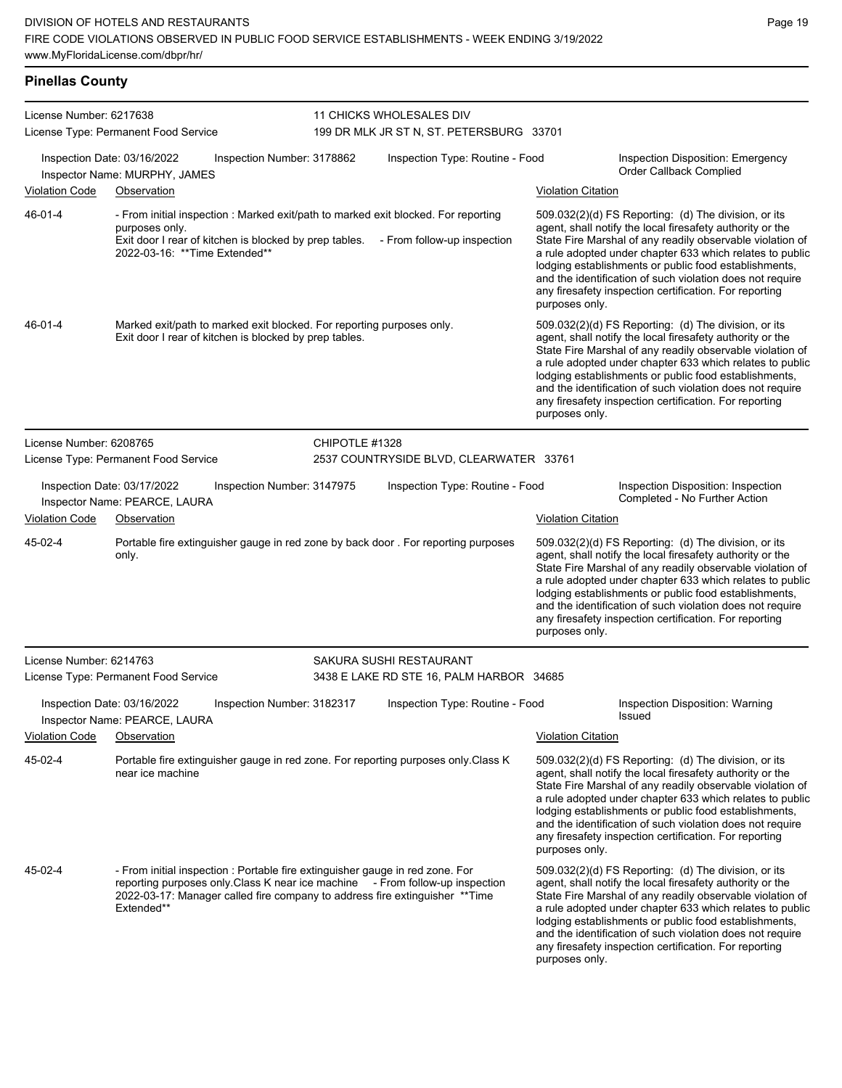| License Number: 6217638 |                                                                                                                                                                                                                                                            |                | 11 CHICKS WHOLESALES DIV<br>199 DR MLK JR ST N, ST. PETERSBURG 33701 |                           |                                                                                                                                                                                                                                                                                                                                                                                                                              |
|-------------------------|------------------------------------------------------------------------------------------------------------------------------------------------------------------------------------------------------------------------------------------------------------|----------------|----------------------------------------------------------------------|---------------------------|------------------------------------------------------------------------------------------------------------------------------------------------------------------------------------------------------------------------------------------------------------------------------------------------------------------------------------------------------------------------------------------------------------------------------|
|                         | License Type: Permanent Food Service<br>Inspection Date: 03/16/2022<br>Inspection Number: 3178862                                                                                                                                                          |                | Inspection Type: Routine - Food                                      |                           | Inspection Disposition: Emergency<br>Order Callback Complied                                                                                                                                                                                                                                                                                                                                                                 |
| <b>Violation Code</b>   | Inspector Name: MURPHY, JAMES<br>Observation                                                                                                                                                                                                               |                |                                                                      | <b>Violation Citation</b> |                                                                                                                                                                                                                                                                                                                                                                                                                              |
| 46-01-4                 | - From initial inspection : Marked exit/path to marked exit blocked. For reporting<br>purposes only.<br>Exit door I rear of kitchen is blocked by prep tables.<br>2022-03-16: ** Time Extended**                                                           |                | - From follow-up inspection                                          | purposes only.            | 509.032(2)(d) FS Reporting: (d) The division, or its<br>agent, shall notify the local firesafety authority or the<br>State Fire Marshal of any readily observable violation of<br>a rule adopted under chapter 633 which relates to public<br>lodging establishments or public food establishments,<br>and the identification of such violation does not require<br>any firesafety inspection certification. For reporting   |
| 46-01-4                 | Marked exit/path to marked exit blocked. For reporting purposes only.<br>Exit door I rear of kitchen is blocked by prep tables.                                                                                                                            |                |                                                                      | purposes only.            | 509.032(2)(d) FS Reporting: (d) The division, or its<br>agent, shall notify the local firesafety authority or the<br>State Fire Marshal of any readily observable violation of<br>a rule adopted under chapter 633 which relates to public<br>lodging establishments or public food establishments,<br>and the identification of such violation does not require<br>any firesafety inspection certification. For reporting   |
| License Number: 6208765 | License Type: Permanent Food Service                                                                                                                                                                                                                       | CHIPOTLE #1328 | 2537 COUNTRYSIDE BLVD, CLEARWATER 33761                              |                           |                                                                                                                                                                                                                                                                                                                                                                                                                              |
|                         | Inspection Date: 03/17/2022<br>Inspection Number: 3147975<br>Inspector Name: PEARCE, LAURA                                                                                                                                                                 |                | Inspection Type: Routine - Food                                      |                           | Inspection Disposition: Inspection<br>Completed - No Further Action                                                                                                                                                                                                                                                                                                                                                          |
| <b>Violation Code</b>   | Observation                                                                                                                                                                                                                                                |                |                                                                      | <b>Violation Citation</b> |                                                                                                                                                                                                                                                                                                                                                                                                                              |
| 45-02-4                 | Portable fire extinguisher gauge in red zone by back door . For reporting purposes<br>only.                                                                                                                                                                |                |                                                                      | purposes only.            | 509.032(2)(d) FS Reporting: (d) The division, or its<br>agent, shall notify the local firesafety authority or the<br>State Fire Marshal of any readily observable violation of<br>a rule adopted under chapter 633 which relates to public<br>lodging establishments or public food establishments,<br>and the identification of such violation does not require<br>any firesafety inspection certification. For reporting   |
| License Number: 6214763 | License Type: Permanent Food Service                                                                                                                                                                                                                       |                | SAKURA SUSHI RESTAURANT<br>3438 E LAKE RD STE 16, PALM HARBOR 34685  |                           |                                                                                                                                                                                                                                                                                                                                                                                                                              |
|                         | Inspection Date: 03/16/2022<br>Inspection Number: 3182317<br>Inspector Name: PEARCE, LAURA                                                                                                                                                                 |                | Inspection Type: Routine - Food                                      |                           | Inspection Disposition: Warning<br>Issued                                                                                                                                                                                                                                                                                                                                                                                    |
| <b>Violation Code</b>   | Observation                                                                                                                                                                                                                                                |                |                                                                      | <b>Violation Citation</b> |                                                                                                                                                                                                                                                                                                                                                                                                                              |
| 45-02-4                 | Portable fire extinguisher gauge in red zone. For reporting purposes only Class K<br>near ice machine                                                                                                                                                      |                |                                                                      | purposes only.            | 509.032(2)(d) FS Reporting: (d) The division, or its<br>agent, shall notify the local firesafety authority or the<br>State Fire Marshal of any readily observable violation of<br>a rule adopted under chapter 633 which relates to public<br>lodging establishments or public food establishments,<br>and the identification of such violation does not require<br>any firesafety inspection certification. For reporting   |
| 45-02-4                 | - From initial inspection : Portable fire extinguisher gauge in red zone. For<br>reporting purposes only Class K near ice machine - From follow-up inspection<br>2022-03-17: Manager called fire company to address fire extinguisher **Time<br>Extended** |                |                                                                      | purposes only.            | $509.032(2)(d)$ FS Reporting: (d) The division, or its<br>agent, shall notify the local firesafety authority or the<br>State Fire Marshal of any readily observable violation of<br>a rule adopted under chapter 633 which relates to public<br>lodging establishments or public food establishments,<br>and the identification of such violation does not require<br>any firesafety inspection certification. For reporting |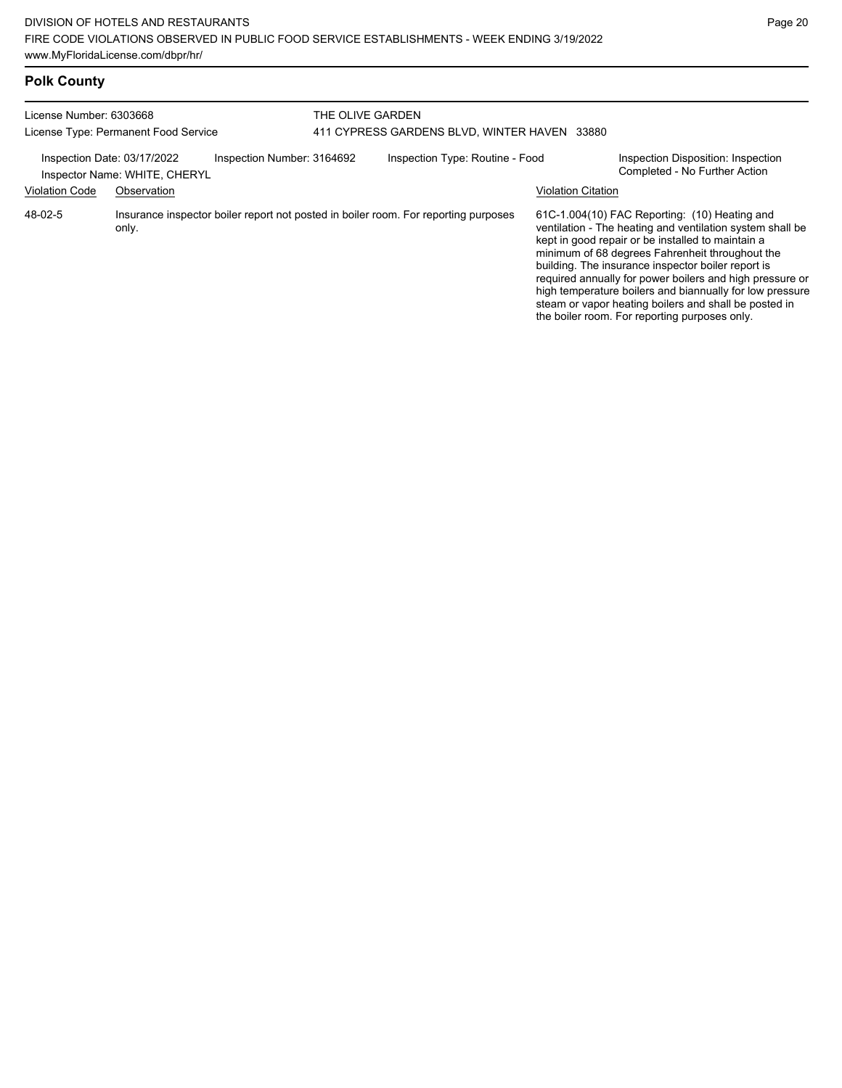# **Polk County**

| License Number: 6303668<br>License Type: Permanent Food Service |                               | THE OLIVE GARDEN<br>411 CYPRESS GARDENS BLVD, WINTER HAVEN 33880 |  |                                                                                     |                           |                                                                                                                                                                                                                                                                                                                                                                                                                                                                                                            |
|-----------------------------------------------------------------|-------------------------------|------------------------------------------------------------------|--|-------------------------------------------------------------------------------------|---------------------------|------------------------------------------------------------------------------------------------------------------------------------------------------------------------------------------------------------------------------------------------------------------------------------------------------------------------------------------------------------------------------------------------------------------------------------------------------------------------------------------------------------|
| Inspection Date: 03/17/2022                                     | Inspector Name: WHITE, CHERYL | Inspection Number: 3164692                                       |  | Inspection Type: Routine - Food                                                     |                           | Inspection Disposition: Inspection<br>Completed - No Further Action                                                                                                                                                                                                                                                                                                                                                                                                                                        |
| <b>Violation Code</b>                                           | Observation                   |                                                                  |  |                                                                                     | <b>Violation Citation</b> |                                                                                                                                                                                                                                                                                                                                                                                                                                                                                                            |
| 48-02-5                                                         | only.                         |                                                                  |  | Insurance inspector boiler report not posted in boiler room. For reporting purposes |                           | 61C-1.004(10) FAC Reporting: (10) Heating and<br>ventilation - The heating and ventilation system shall be<br>kept in good repair or be installed to maintain a<br>minimum of 68 degrees Fahrenheit throughout the<br>building. The insurance inspector boiler report is<br>required annually for power boilers and high pressure or<br>high temperature boilers and biannually for low pressure<br>steam or vapor heating boilers and shall be posted in<br>the boiler room. For reporting purposes only. |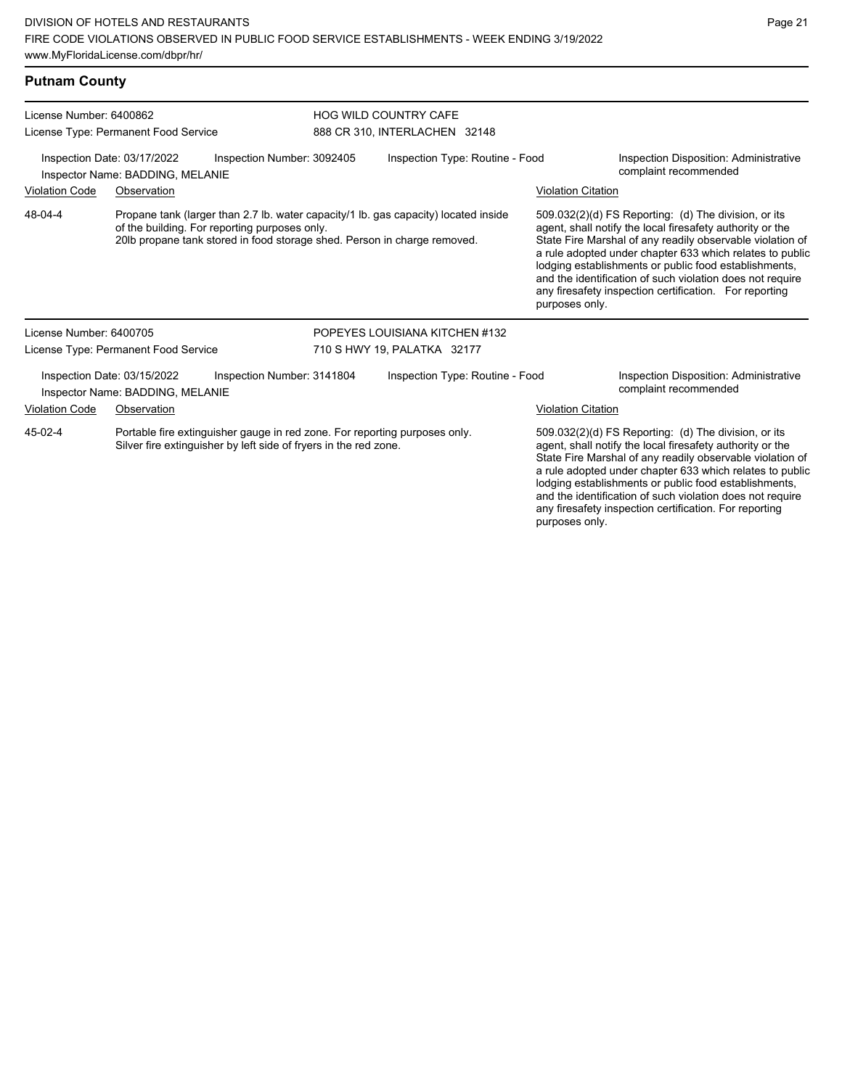| <b>Putnam County</b>                                                                          |                                                                                                                                                |                                               |                                                                                                    |                                                                                                                                                                 |                                                                                                                   |                                                                                                                                                                                                                                                                                                                                                                                                                            |
|-----------------------------------------------------------------------------------------------|------------------------------------------------------------------------------------------------------------------------------------------------|-----------------------------------------------|----------------------------------------------------------------------------------------------------|-----------------------------------------------------------------------------------------------------------------------------------------------------------------|-------------------------------------------------------------------------------------------------------------------|----------------------------------------------------------------------------------------------------------------------------------------------------------------------------------------------------------------------------------------------------------------------------------------------------------------------------------------------------------------------------------------------------------------------------|
| License Number: 6400862                                                                       | License Type: Permanent Food Service                                                                                                           |                                               |                                                                                                    | <b>HOG WILD COUNTRY CAFE</b><br>888 CR 310, INTERLACHEN 32148                                                                                                   |                                                                                                                   |                                                                                                                                                                                                                                                                                                                                                                                                                            |
| Inspection Number: 3092405<br>Inspection Date: 03/17/2022<br>Inspector Name: BADDING, MELANIE |                                                                                                                                                |                                               | Inspection Type: Routine - Food<br>Inspection Disposition: Administrative<br>complaint recommended |                                                                                                                                                                 |                                                                                                                   |                                                                                                                                                                                                                                                                                                                                                                                                                            |
| Violation Code<br>Observation                                                                 |                                                                                                                                                |                                               |                                                                                                    |                                                                                                                                                                 | <b>Violation Citation</b>                                                                                         |                                                                                                                                                                                                                                                                                                                                                                                                                            |
| 48-04-4                                                                                       |                                                                                                                                                | of the building. For reporting purposes only. |                                                                                                    | Propane tank (larger than 2.7 lb. water capacity/1 lb. gas capacity) located inside<br>20lb propane tank stored in food storage shed. Person in charge removed. | purposes only.                                                                                                    | 509.032(2)(d) FS Reporting: (d) The division, or its<br>agent, shall notify the local firesafety authority or the<br>State Fire Marshal of any readily observable violation of<br>a rule adopted under chapter 633 which relates to public<br>lodging establishments or public food establishments,<br>and the identification of such violation does not require<br>any firesafety inspection certification. For reporting |
| License Number: 6400705                                                                       |                                                                                                                                                |                                               |                                                                                                    | POPEYES LOUISIANA KITCHEN #132                                                                                                                                  |                                                                                                                   |                                                                                                                                                                                                                                                                                                                                                                                                                            |
|                                                                                               | License Type: Permanent Food Service                                                                                                           |                                               |                                                                                                    | 710 S HWY 19, PALATKA 32177                                                                                                                                     |                                                                                                                   |                                                                                                                                                                                                                                                                                                                                                                                                                            |
|                                                                                               | Inspection Date: 03/15/2022<br>Inspector Name: BADDING, MELANIE                                                                                | Inspection Number: 3141804                    |                                                                                                    | Inspection Type: Routine - Food                                                                                                                                 |                                                                                                                   | Inspection Disposition: Administrative<br>complaint recommended                                                                                                                                                                                                                                                                                                                                                            |
| <b>Violation Code</b>                                                                         | Observation                                                                                                                                    |                                               |                                                                                                    |                                                                                                                                                                 | <b>Violation Citation</b>                                                                                         |                                                                                                                                                                                                                                                                                                                                                                                                                            |
| 45-02-4                                                                                       | Portable fire extinguisher gauge in red zone. For reporting purposes only.<br>Silver fire extinguisher by left side of fryers in the red zone. |                                               |                                                                                                    |                                                                                                                                                                 | 509.032(2)(d) FS Reporting: (d) The division, or its<br>agent, shall notify the local firesafety authority or the |                                                                                                                                                                                                                                                                                                                                                                                                                            |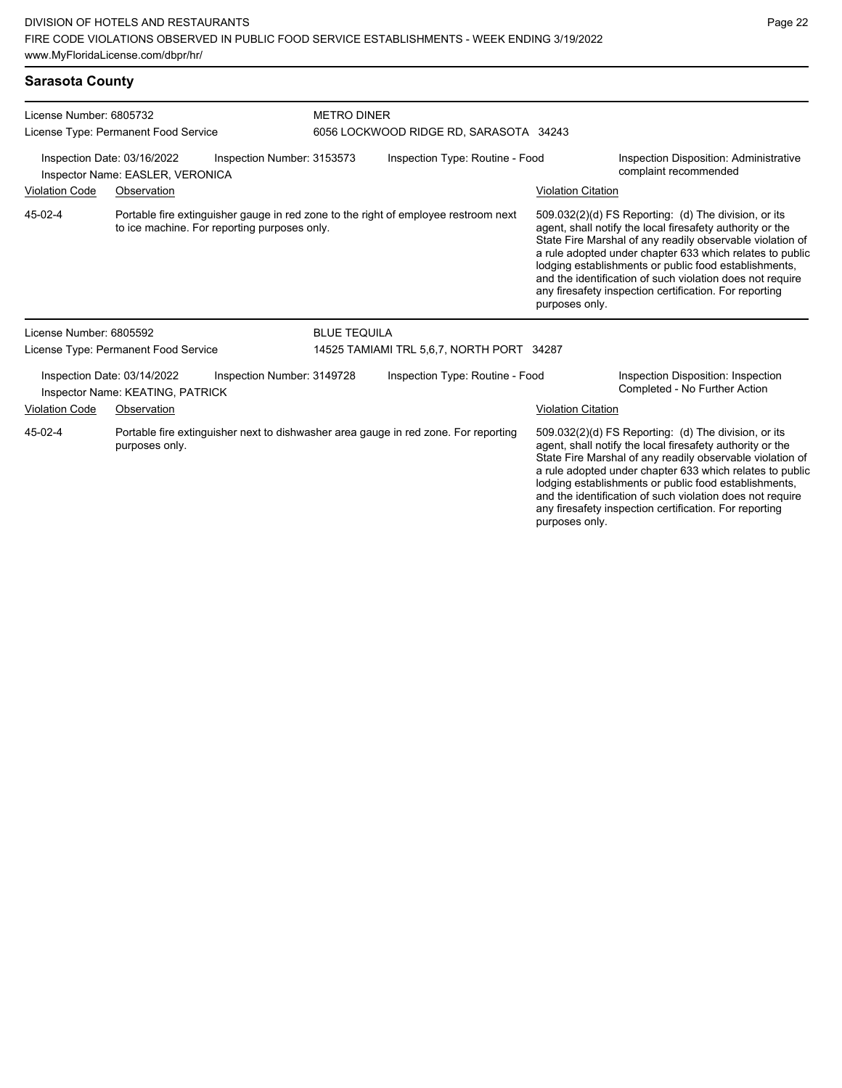| Sarasota County |  |
|-----------------|--|
|-----------------|--|

| License Number: 6805732<br>License Type: Permanent Food Service                               |                                                                 | <b>METRO DINER</b>                           | 6056 LOCKWOOD RIDGE RD, SARASOTA 34243 |                                                                                     |                           |                                                                                                                                                                                                                                                                                                                                                                                                                            |
|-----------------------------------------------------------------------------------------------|-----------------------------------------------------------------|----------------------------------------------|----------------------------------------|-------------------------------------------------------------------------------------|---------------------------|----------------------------------------------------------------------------------------------------------------------------------------------------------------------------------------------------------------------------------------------------------------------------------------------------------------------------------------------------------------------------------------------------------------------------|
| Inspection Date: 03/16/2022<br>Inspection Number: 3153573<br>Inspector Name: EASLER, VERONICA |                                                                 |                                              |                                        | Inspection Type: Routine - Food                                                     |                           | Inspection Disposition: Administrative<br>complaint recommended                                                                                                                                                                                                                                                                                                                                                            |
| <b>Violation Code</b>                                                                         | Observation                                                     |                                              |                                        |                                                                                     | Violation Citation        |                                                                                                                                                                                                                                                                                                                                                                                                                            |
| 45-02-4                                                                                       |                                                                 | to ice machine. For reporting purposes only. |                                        | Portable fire extinguisher gauge in red zone to the right of employee restroom next | purposes only.            | 509.032(2)(d) FS Reporting: (d) The division, or its<br>agent, shall notify the local firesafety authority or the<br>State Fire Marshal of any readily observable violation of<br>a rule adopted under chapter 633 which relates to public<br>lodging establishments or public food establishments,<br>and the identification of such violation does not require<br>any firesafety inspection certification. For reporting |
| License Number: 6805592                                                                       |                                                                 |                                              | <b>BLUE TEQUILA</b>                    |                                                                                     |                           |                                                                                                                                                                                                                                                                                                                                                                                                                            |
|                                                                                               | License Type: Permanent Food Service                            |                                              |                                        | 14525 TAMIAMI TRL 5,6,7, NORTH PORT 34287                                           |                           |                                                                                                                                                                                                                                                                                                                                                                                                                            |
|                                                                                               | Inspection Date: 03/14/2022<br>Inspector Name: KEATING, PATRICK | Inspection Number: 3149728                   |                                        | Inspection Type: Routine - Food                                                     |                           | Inspection Disposition: Inspection<br>Completed - No Further Action                                                                                                                                                                                                                                                                                                                                                        |
| <b>Violation Code</b>                                                                         | Observation                                                     |                                              |                                        |                                                                                     | <b>Violation Citation</b> |                                                                                                                                                                                                                                                                                                                                                                                                                            |
| 45-02-4                                                                                       | purposes only.                                                  |                                              |                                        | Portable fire extinguisher next to dishwasher area gauge in red zone. For reporting |                           | 509.032(2)(d) FS Reporting: (d) The division, or its<br>agent, shall notify the local firesafety authority or the<br>State Fire Marshal of any readily observable violation of<br>a rule adopted under chapter 633 which relates to public<br>lodging establishments or public food establishments,                                                                                                                        |

and the identification of such violation does not require any firesafety inspection certification. For reporting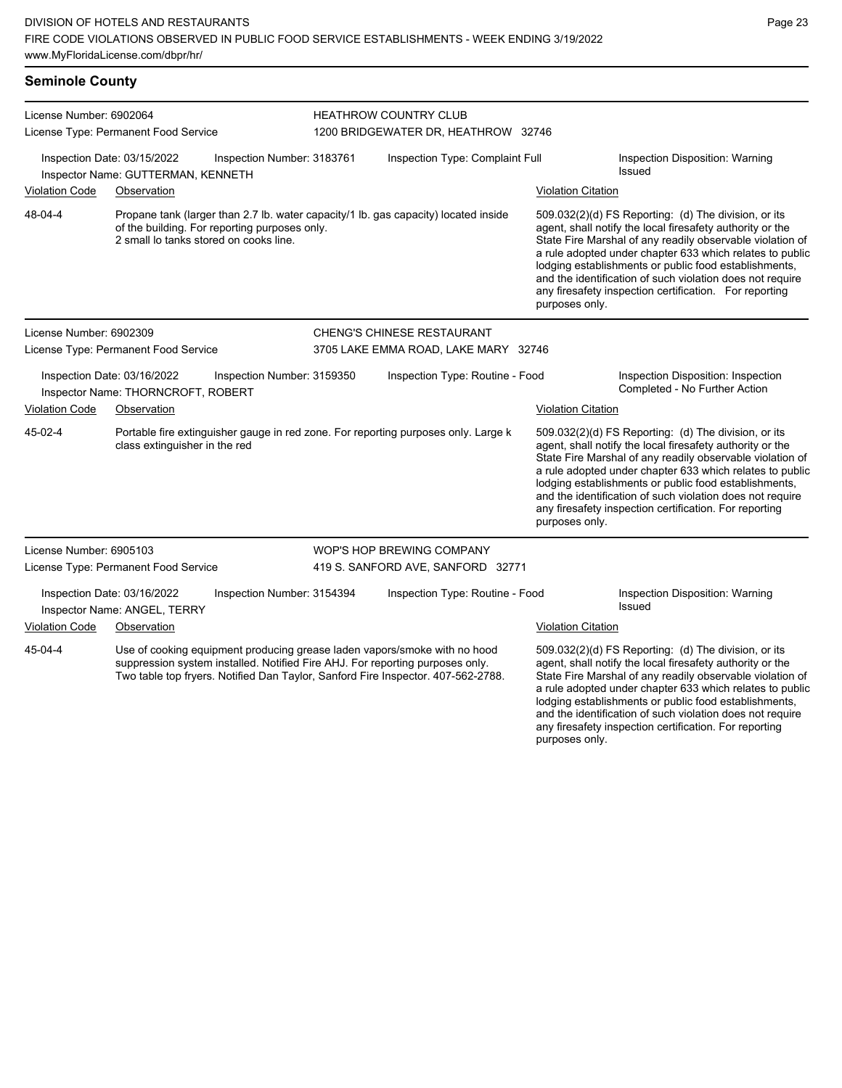| <b>Seminole County</b>                                                                                                                                                                                                                                    |                                                                   |                                                                |                                                                                     |                                                                                    |                                                                                                                                                                                                                                                                                                                                                                                                                                              |                                                                                                                                                                                                                                                                                                                                                                                                                            |  |  |
|-----------------------------------------------------------------------------------------------------------------------------------------------------------------------------------------------------------------------------------------------------------|-------------------------------------------------------------------|----------------------------------------------------------------|-------------------------------------------------------------------------------------|------------------------------------------------------------------------------------|----------------------------------------------------------------------------------------------------------------------------------------------------------------------------------------------------------------------------------------------------------------------------------------------------------------------------------------------------------------------------------------------------------------------------------------------|----------------------------------------------------------------------------------------------------------------------------------------------------------------------------------------------------------------------------------------------------------------------------------------------------------------------------------------------------------------------------------------------------------------------------|--|--|
| License Number: 6902064<br>License Type: Permanent Food Service                                                                                                                                                                                           |                                                                   |                                                                | <b>HEATHROW COUNTRY CLUB</b><br>1200 BRIDGEWATER DR, HEATHROW 32746                 |                                                                                    |                                                                                                                                                                                                                                                                                                                                                                                                                                              |                                                                                                                                                                                                                                                                                                                                                                                                                            |  |  |
|                                                                                                                                                                                                                                                           | Inspection Date: 03/15/2022<br>Inspector Name: GUTTERMAN, KENNETH | Inspection Number: 3183761                                     | Inspection Type: Complaint Full                                                     |                                                                                    |                                                                                                                                                                                                                                                                                                                                                                                                                                              | Inspection Disposition: Warning<br><b>Issued</b>                                                                                                                                                                                                                                                                                                                                                                           |  |  |
| <b>Violation Code</b>                                                                                                                                                                                                                                     | Observation                                                       |                                                                |                                                                                     |                                                                                    | <b>Violation Citation</b>                                                                                                                                                                                                                                                                                                                                                                                                                    |                                                                                                                                                                                                                                                                                                                                                                                                                            |  |  |
| 48-04-4<br>of the building. For reporting purposes only.<br>2 small lo tanks stored on cooks line.                                                                                                                                                        |                                                                   |                                                                | Propane tank (larger than 2.7 lb. water capacity/1 lb. gas capacity) located inside |                                                                                    | 509.032(2)(d) FS Reporting: (d) The division, or its<br>agent, shall notify the local firesafety authority or the<br>State Fire Marshal of any readily observable violation of<br>a rule adopted under chapter 633 which relates to public<br>lodging establishments or public food establishments,<br>and the identification of such violation does not require<br>any firesafety inspection certification. For reporting<br>purposes only. |                                                                                                                                                                                                                                                                                                                                                                                                                            |  |  |
| License Number: 6902309                                                                                                                                                                                                                                   |                                                                   |                                                                |                                                                                     | <b>CHENG'S CHINESE RESTAURANT</b>                                                  |                                                                                                                                                                                                                                                                                                                                                                                                                                              |                                                                                                                                                                                                                                                                                                                                                                                                                            |  |  |
|                                                                                                                                                                                                                                                           | License Type: Permanent Food Service                              |                                                                | 3705 LAKE EMMA ROAD, LAKE MARY 32746                                                |                                                                                    |                                                                                                                                                                                                                                                                                                                                                                                                                                              |                                                                                                                                                                                                                                                                                                                                                                                                                            |  |  |
| Inspection Date: 03/16/2022<br>Inspection Number: 3159350<br>Inspector Name: THORNCROFT, ROBERT                                                                                                                                                           |                                                                   | Inspection Type: Routine - Food                                |                                                                                     |                                                                                    | Inspection Disposition: Inspection<br>Completed - No Further Action                                                                                                                                                                                                                                                                                                                                                                          |                                                                                                                                                                                                                                                                                                                                                                                                                            |  |  |
| <b>Violation Code</b>                                                                                                                                                                                                                                     | Observation                                                       |                                                                |                                                                                     |                                                                                    | <b>Violation Citation</b>                                                                                                                                                                                                                                                                                                                                                                                                                    |                                                                                                                                                                                                                                                                                                                                                                                                                            |  |  |
| 45-02-4                                                                                                                                                                                                                                                   | class extinguisher in the red                                     |                                                                |                                                                                     | Portable fire extinguisher gauge in red zone. For reporting purposes only. Large k | purposes only.                                                                                                                                                                                                                                                                                                                                                                                                                               | 509.032(2)(d) FS Reporting: (d) The division, or its<br>agent, shall notify the local firesafety authority or the<br>State Fire Marshal of any readily observable violation of<br>a rule adopted under chapter 633 which relates to public<br>lodging establishments or public food establishments,<br>and the identification of such violation does not require<br>any firesafety inspection certification. For reporting |  |  |
| License Number: 6905103<br>License Type: Permanent Food Service                                                                                                                                                                                           |                                                                   | WOP'S HOP BREWING COMPANY<br>419 S. SANFORD AVE, SANFORD 32771 |                                                                                     |                                                                                    |                                                                                                                                                                                                                                                                                                                                                                                                                                              |                                                                                                                                                                                                                                                                                                                                                                                                                            |  |  |
|                                                                                                                                                                                                                                                           | Inspection Date: 03/16/2022<br>Inspector Name: ANGEL, TERRY       | Inspection Number: 3154394                                     |                                                                                     | Inspection Type: Routine - Food                                                    |                                                                                                                                                                                                                                                                                                                                                                                                                                              | Inspection Disposition: Warning<br>Issued                                                                                                                                                                                                                                                                                                                                                                                  |  |  |
| <b>Violation Code</b>                                                                                                                                                                                                                                     | Observation                                                       |                                                                |                                                                                     |                                                                                    | <b>Violation Citation</b>                                                                                                                                                                                                                                                                                                                                                                                                                    |                                                                                                                                                                                                                                                                                                                                                                                                                            |  |  |
| 45-04-4<br>Use of cooking equipment producing grease laden vapors/smoke with no hood<br>suppression system installed. Notified Fire AHJ. For reporting purposes only.<br>Two table top fryers. Notified Dan Taylor, Sanford Fire Inspector. 407-562-2788. |                                                                   |                                                                |                                                                                     |                                                                                    |                                                                                                                                                                                                                                                                                                                                                                                                                                              | 509.032(2)(d) FS Reporting: (d) The division, or its<br>agent, shall notify the local firesafety authority or the<br>State Fire Marshal of any readily observable violation of<br>a rule adopted under chapter 633 which relates to public                                                                                                                                                                                 |  |  |

lodging establishments or public food establishments, and the identification of such violation does not require any firesafety inspection certification. For reporting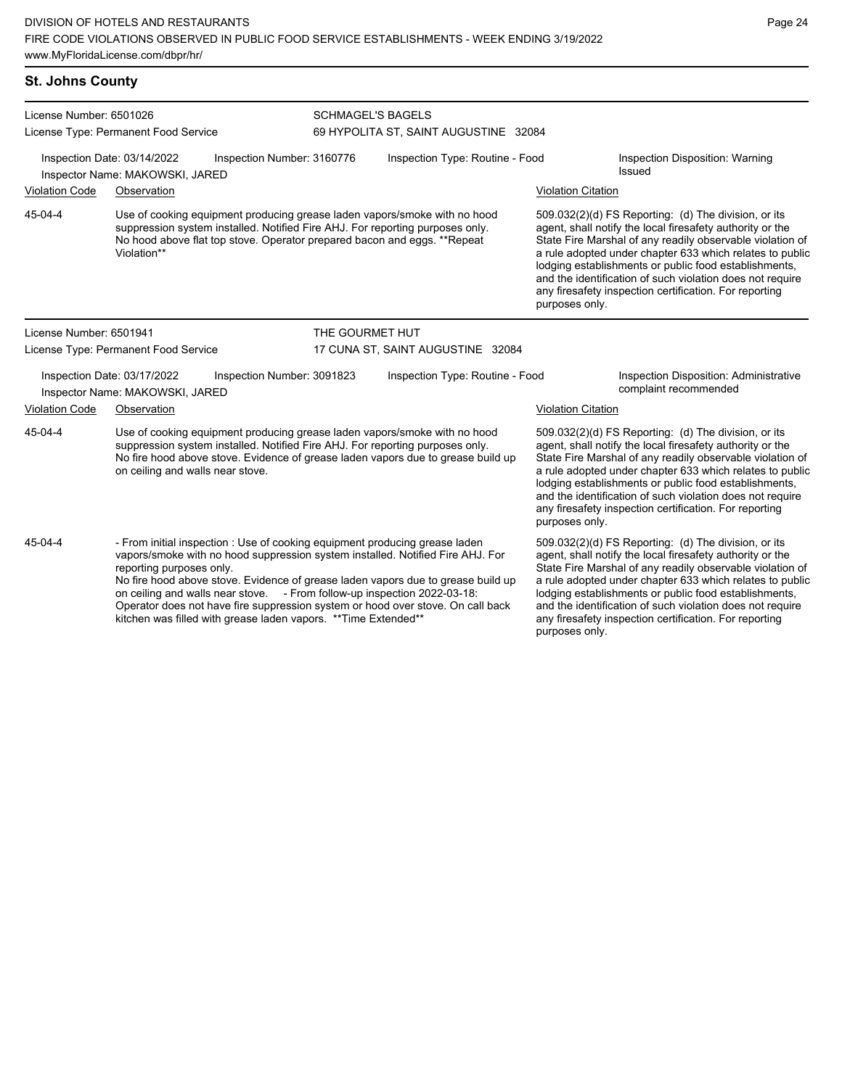kitchen was filled with grease laden vapors. \*\*Time Extended\*\*

| <b>St. Johns County</b> |                                                                                                                                                                                                                                                                                                                                                                                                                                              |                 |                                       |                                                                                                                                                                                                                                                                                                                                                                                                                                              |                                                                                                                                                                                                                                                                                                                                                                                                                            |  |
|-------------------------|----------------------------------------------------------------------------------------------------------------------------------------------------------------------------------------------------------------------------------------------------------------------------------------------------------------------------------------------------------------------------------------------------------------------------------------------|-----------------|---------------------------------------|----------------------------------------------------------------------------------------------------------------------------------------------------------------------------------------------------------------------------------------------------------------------------------------------------------------------------------------------------------------------------------------------------------------------------------------------|----------------------------------------------------------------------------------------------------------------------------------------------------------------------------------------------------------------------------------------------------------------------------------------------------------------------------------------------------------------------------------------------------------------------------|--|
| License Number: 6501026 |                                                                                                                                                                                                                                                                                                                                                                                                                                              |                 | <b>SCHMAGEL'S BAGELS</b>              |                                                                                                                                                                                                                                                                                                                                                                                                                                              |                                                                                                                                                                                                                                                                                                                                                                                                                            |  |
|                         | License Type: Permanent Food Service                                                                                                                                                                                                                                                                                                                                                                                                         |                 | 69 HYPOLITA ST, SAINT AUGUSTINE 32084 |                                                                                                                                                                                                                                                                                                                                                                                                                                              |                                                                                                                                                                                                                                                                                                                                                                                                                            |  |
|                         | Inspection Date: 03/14/2022<br>Inspection Number: 3160776<br>Inspector Name: MAKOWSKI, JARED                                                                                                                                                                                                                                                                                                                                                 |                 | Inspection Type: Routine - Food       |                                                                                                                                                                                                                                                                                                                                                                                                                                              | Inspection Disposition: Warning<br>Issued                                                                                                                                                                                                                                                                                                                                                                                  |  |
| <b>Violation Code</b>   | Observation                                                                                                                                                                                                                                                                                                                                                                                                                                  |                 |                                       | <b>Violation Citation</b>                                                                                                                                                                                                                                                                                                                                                                                                                    |                                                                                                                                                                                                                                                                                                                                                                                                                            |  |
| 45-04-4                 | Use of cooking equipment producing grease laden vapors/smoke with no hood<br>suppression system installed. Notified Fire AHJ. For reporting purposes only.<br>No hood above flat top stove. Operator prepared bacon and eggs. **Repeat<br>Violation**                                                                                                                                                                                        |                 |                                       | purposes only.                                                                                                                                                                                                                                                                                                                                                                                                                               | 509.032(2)(d) FS Reporting: (d) The division, or its<br>agent, shall notify the local firesafety authority or the<br>State Fire Marshal of any readily observable violation of<br>a rule adopted under chapter 633 which relates to public<br>lodging establishments or public food establishments,<br>and the identification of such violation does not require<br>any firesafety inspection certification. For reporting |  |
| License Number: 6501941 |                                                                                                                                                                                                                                                                                                                                                                                                                                              | THE GOURMET HUT |                                       |                                                                                                                                                                                                                                                                                                                                                                                                                                              |                                                                                                                                                                                                                                                                                                                                                                                                                            |  |
|                         | License Type: Permanent Food Service                                                                                                                                                                                                                                                                                                                                                                                                         |                 | 17 CUNA ST, SAINT AUGUSTINE 32084     |                                                                                                                                                                                                                                                                                                                                                                                                                                              |                                                                                                                                                                                                                                                                                                                                                                                                                            |  |
|                         | Inspection Date: 03/17/2022<br>Inspection Number: 3091823<br>Inspector Name: MAKOWSKI, JARED                                                                                                                                                                                                                                                                                                                                                 |                 | Inspection Type: Routine - Food       |                                                                                                                                                                                                                                                                                                                                                                                                                                              | Inspection Disposition: Administrative<br>complaint recommended                                                                                                                                                                                                                                                                                                                                                            |  |
| <b>Violation Code</b>   | Observation                                                                                                                                                                                                                                                                                                                                                                                                                                  |                 |                                       | <b>Violation Citation</b>                                                                                                                                                                                                                                                                                                                                                                                                                    |                                                                                                                                                                                                                                                                                                                                                                                                                            |  |
| 45-04-4                 | Use of cooking equipment producing grease laden vapors/smoke with no hood<br>suppression system installed. Notified Fire AHJ. For reporting purposes only.<br>No fire hood above stove. Evidence of grease laden vapors due to grease build up<br>on ceiling and walls near stove.                                                                                                                                                           |                 |                                       | 509.032(2)(d) FS Reporting: (d) The division, or its<br>agent, shall notify the local firesafety authority or the<br>State Fire Marshal of any readily observable violation of<br>a rule adopted under chapter 633 which relates to public<br>lodging establishments or public food establishments,<br>and the identification of such violation does not require<br>any firesafety inspection certification. For reporting<br>purposes only. |                                                                                                                                                                                                                                                                                                                                                                                                                            |  |
| 45-04-4                 | - From initial inspection : Use of cooking equipment producing grease laden<br>vapors/smoke with no hood suppression system installed. Notified Fire AHJ. For<br>reporting purposes only.<br>No fire hood above stove. Evidence of grease laden vapors due to grease build up<br>on ceiling and walls near stove. - From follow-up inspection 2022-03-18:<br>Operator does not have fire suppression system or hood over stove. On call back |                 |                                       |                                                                                                                                                                                                                                                                                                                                                                                                                                              | 509.032(2)(d) FS Reporting: (d) The division, or its<br>agent, shall notify the local firesafety authority or the<br>State Fire Marshal of any readily observable violation of<br>a rule adopted under chapter 633 which relates to public<br>lodging establishments or public food establishments,<br>and the identification of such violation does not require                                                           |  |

any firesafety inspection certification. For reporting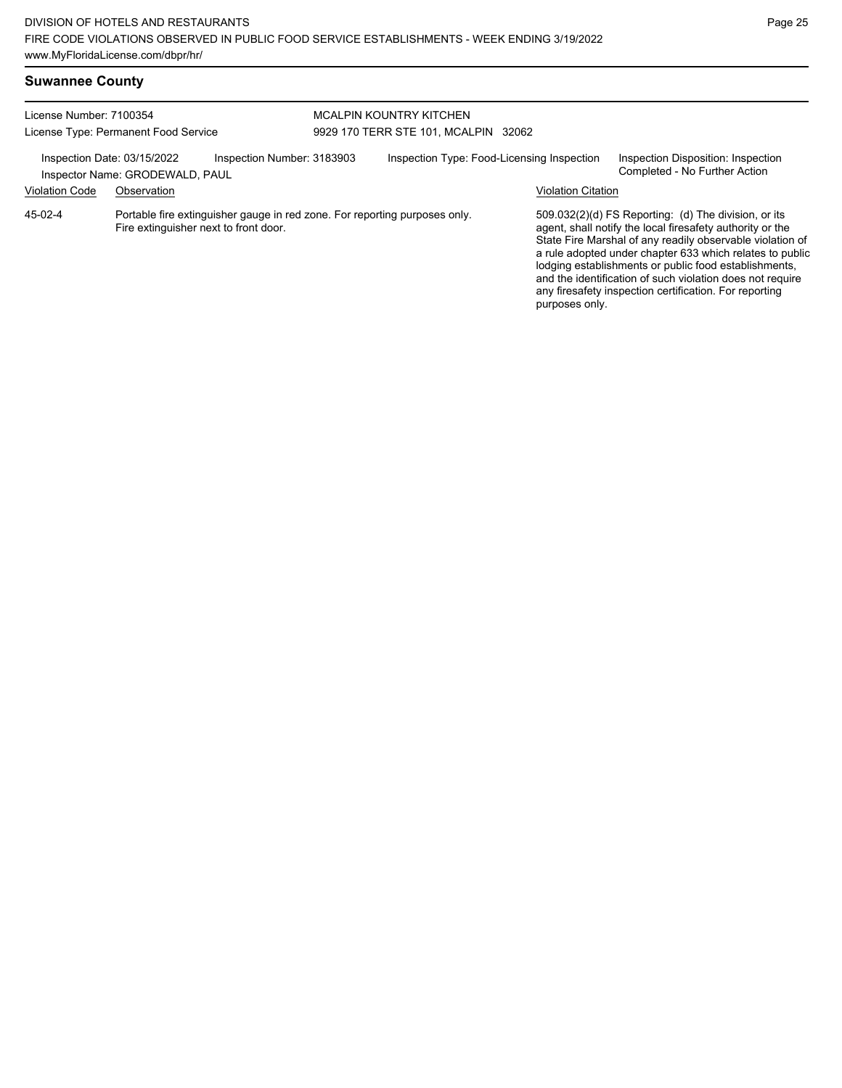| <b>Suwannee County</b> |  |
|------------------------|--|
|------------------------|--|

| License Number: 7100354<br>License Type: Permanent Food Service                              |                                                                                                                     |  | <b>MCALPIN KOUNTRY KITCHEN</b><br>9929 170 TERR STE 101, MCALPIN 32062 |  |                                                                     |                                                                                                                                                                                                                                                                                                                                                                                                                            |  |
|----------------------------------------------------------------------------------------------|---------------------------------------------------------------------------------------------------------------------|--|------------------------------------------------------------------------|--|---------------------------------------------------------------------|----------------------------------------------------------------------------------------------------------------------------------------------------------------------------------------------------------------------------------------------------------------------------------------------------------------------------------------------------------------------------------------------------------------------------|--|
| Inspection Number: 3183903<br>Inspection Date: 03/15/2022<br>Inspector Name: GRODEWALD, PAUL |                                                                                                                     |  | Inspection Type: Food-Licensing Inspection                             |  | Inspection Disposition: Inspection<br>Completed - No Further Action |                                                                                                                                                                                                                                                                                                                                                                                                                            |  |
| <b>Violation Code</b>                                                                        | Observation                                                                                                         |  |                                                                        |  | <b>Violation Citation</b>                                           |                                                                                                                                                                                                                                                                                                                                                                                                                            |  |
| 45-02-4                                                                                      | Portable fire extinguisher gauge in red zone. For reporting purposes only.<br>Fire extinguisher next to front door. |  |                                                                        |  | purposes only.                                                      | 509.032(2)(d) FS Reporting: (d) The division, or its<br>agent, shall notify the local firesafety authority or the<br>State Fire Marshal of any readily observable violation of<br>a rule adopted under chapter 633 which relates to public<br>lodging establishments or public food establishments,<br>and the identification of such violation does not require<br>any firesafety inspection certification. For reporting |  |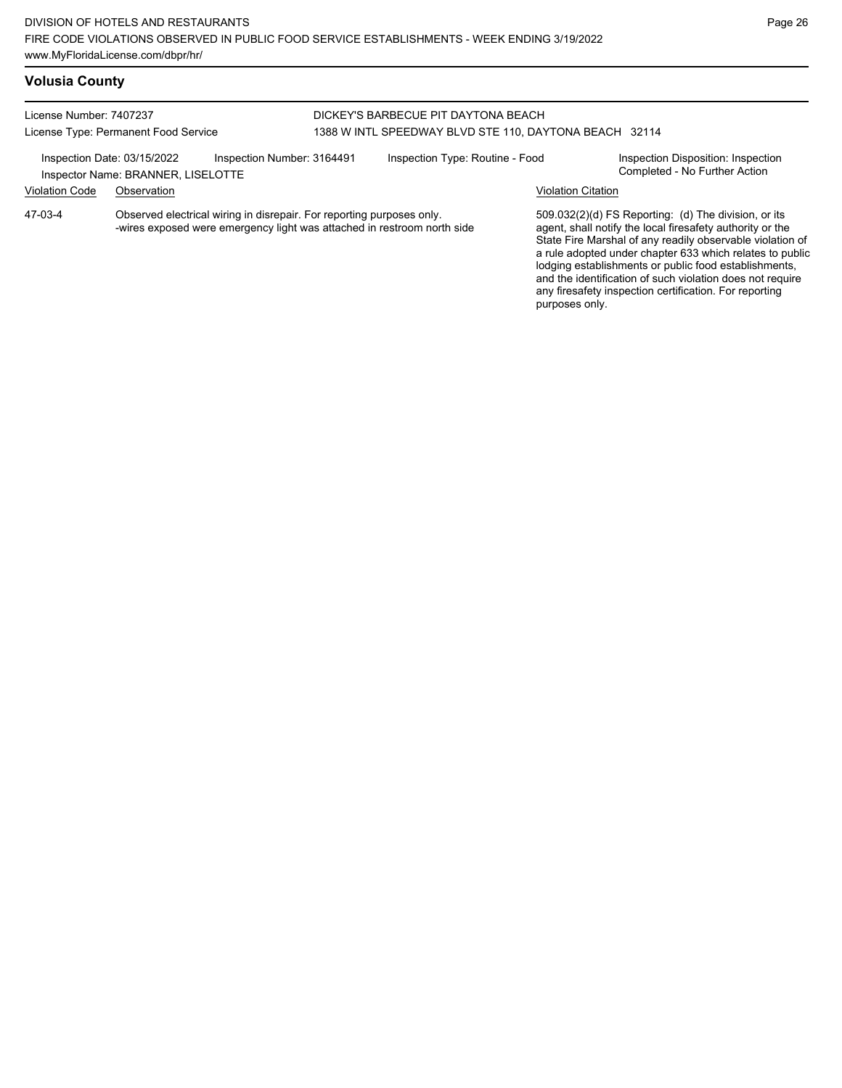## **Volusia County**

License Number: 7407237

License Type: Permanent Food Service

## DICKEY'S BARBECUE PIT DAYTONA BEACH 1388 W INTL SPEEDWAY BLVD STE 110, DAYTONA BEACH 32114

| Inspection Date: 03/15/2022 | Inspector Name: BRANNER, LISELOTTE | Inspection Number: 3164491                                                                                                                       | Inspection Type: Routine - Food |                           | Inspection Disposition: Inspection<br>Completed - No Further Action                                               |
|-----------------------------|------------------------------------|--------------------------------------------------------------------------------------------------------------------------------------------------|---------------------------------|---------------------------|-------------------------------------------------------------------------------------------------------------------|
| <b>Violation Code</b>       | Observation                        |                                                                                                                                                  |                                 | <b>Violation Citation</b> |                                                                                                                   |
| 47-03-4                     |                                    | Observed electrical wiring in disrepair. For reporting purposes only.<br>-wires exposed were emergency light was attached in restroom north side |                                 |                           | 509.032(2)(d) FS Reporting: (d) The division, or its<br>agent, shall notify the local firesafety authority or the |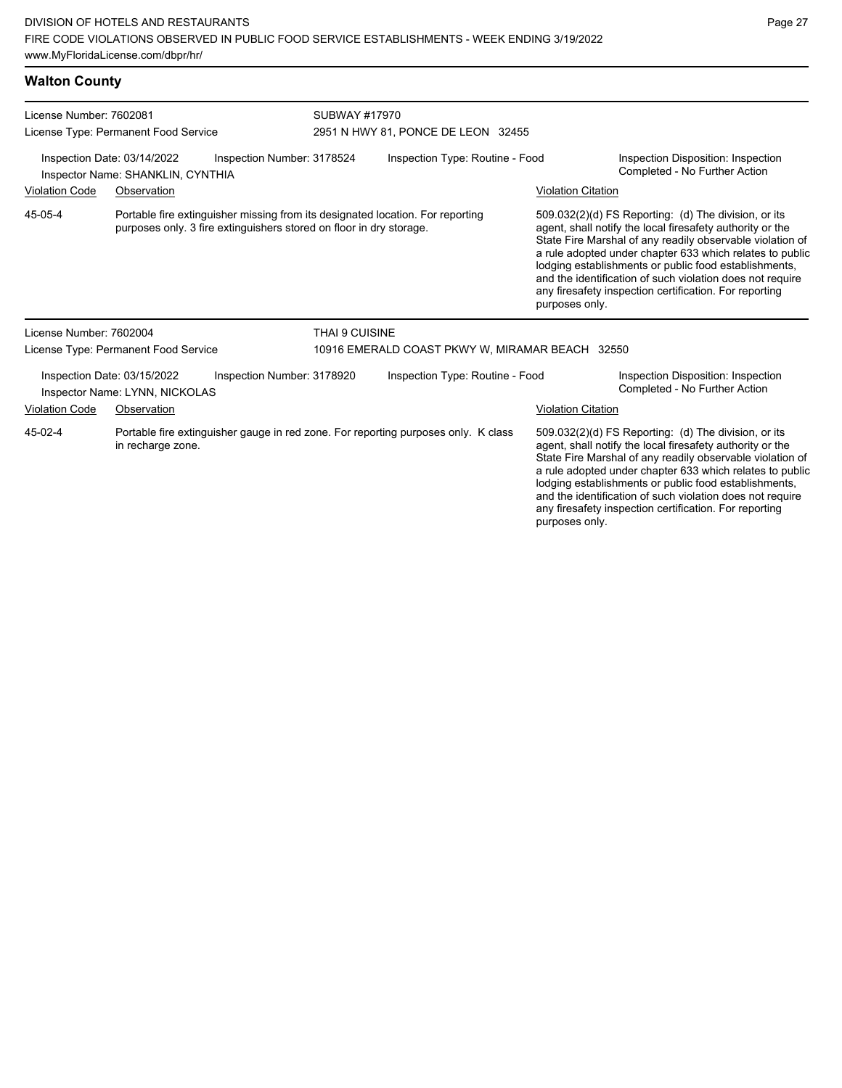| <b>Walton County</b>    |                                                                                                                                                       |                                                                                    |                                                                                                                   |                                                                                                                                                                                                                                                                                                                                                                                                                            |  |  |
|-------------------------|-------------------------------------------------------------------------------------------------------------------------------------------------------|------------------------------------------------------------------------------------|-------------------------------------------------------------------------------------------------------------------|----------------------------------------------------------------------------------------------------------------------------------------------------------------------------------------------------------------------------------------------------------------------------------------------------------------------------------------------------------------------------------------------------------------------------|--|--|
| License Number: 7602081 |                                                                                                                                                       | SUBWAY #17970<br>2951 N HWY 81, PONCE DE LEON 32455                                |                                                                                                                   |                                                                                                                                                                                                                                                                                                                                                                                                                            |  |  |
|                         | License Type: Permanent Food Service                                                                                                                  |                                                                                    |                                                                                                                   |                                                                                                                                                                                                                                                                                                                                                                                                                            |  |  |
|                         | Inspection Date: 03/14/2022<br>Inspection Number: 3178524<br>Inspector Name: SHANKLIN, CYNTHIA                                                        | Inspection Type: Routine - Food                                                    | Inspection Disposition: Inspection<br>Completed - No Further Action                                               |                                                                                                                                                                                                                                                                                                                                                                                                                            |  |  |
| <b>Violation Code</b>   | Observation                                                                                                                                           |                                                                                    | <b>Violation Citation</b>                                                                                         |                                                                                                                                                                                                                                                                                                                                                                                                                            |  |  |
| 45-05-4                 | Portable fire extinguisher missing from its designated location. For reporting<br>purposes only. 3 fire extinguishers stored on floor in dry storage. |                                                                                    | purposes only.                                                                                                    | 509.032(2)(d) FS Reporting: (d) The division, or its<br>agent, shall notify the local firesafety authority or the<br>State Fire Marshal of any readily observable violation of<br>a rule adopted under chapter 633 which relates to public<br>lodging establishments or public food establishments,<br>and the identification of such violation does not require<br>any firesafety inspection certification. For reporting |  |  |
| License Number: 7602004 |                                                                                                                                                       | <b>THAI 9 CUISINE</b>                                                              |                                                                                                                   |                                                                                                                                                                                                                                                                                                                                                                                                                            |  |  |
|                         | License Type: Permanent Food Service                                                                                                                  | 10916 EMERALD COAST PKWY W, MIRAMAR BEACH 32550                                    |                                                                                                                   |                                                                                                                                                                                                                                                                                                                                                                                                                            |  |  |
|                         | Inspection Date: 03/15/2022<br>Inspection Number: 3178920<br>Inspector Name: LYNN, NICKOLAS                                                           | Inspection Type: Routine - Food                                                    | Inspection Disposition: Inspection<br>Completed - No Further Action                                               |                                                                                                                                                                                                                                                                                                                                                                                                                            |  |  |
| <b>Violation Code</b>   | Observation                                                                                                                                           |                                                                                    | <b>Violation Citation</b>                                                                                         |                                                                                                                                                                                                                                                                                                                                                                                                                            |  |  |
| 45-02-4                 | in recharge zone.                                                                                                                                     | Portable fire extinguisher gauge in red zone. For reporting purposes only. K class | 509.032(2)(d) FS Reporting: (d) The division, or its<br>agent, shall notify the local firesafety authority or the |                                                                                                                                                                                                                                                                                                                                                                                                                            |  |  |